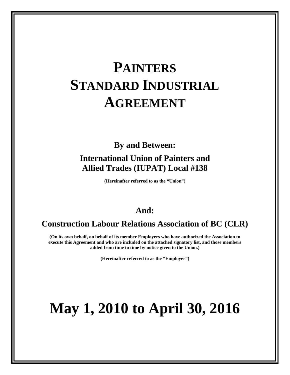# **PAINTERS STANDARD INDUSTRIAL AGREEMENT**

# **By and Between:**

# **International Union of Painters and Allied Trades (IUPAT) Local #138**

**(Hereinafter referred to as the "Union")**

# **And:**

# **Construction Labour Relations Association of BC (CLR)**

**(On its own behalf, on behalf of its member Employers who have authorized the Association to execute this Agreement and who are included on the attached signatory list, and those members added from time to time by notice given to the Union.)**

**(Hereinafter referred to as the "Employer")**

# **May 1, 2010 to April 30, 2016**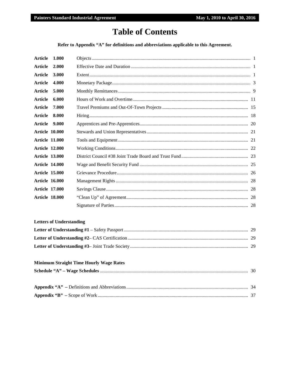# **Table of Contents**

Refer to Appendix "A" for definitions and abbreviations applicable to this Agreement.

| Article               | 1.000 |  |
|-----------------------|-------|--|
| Article               | 2.000 |  |
| <b>Article</b>        | 3.000 |  |
| Article               | 4.000 |  |
| Article               | 5.000 |  |
| <b>Article</b>        | 6.000 |  |
| Article               | 7.000 |  |
| Article               | 8.000 |  |
| Article               | 9.000 |  |
| <b>Article 10.000</b> |       |  |
| <b>Article 11.000</b> |       |  |
| <b>Article 12.000</b> |       |  |
| <b>Article 13.000</b> |       |  |
| <b>Article 14.000</b> |       |  |
| <b>Article 15.000</b> |       |  |
| <b>Article 16.000</b> |       |  |
| <b>Article 17.000</b> |       |  |
| <b>Article 18.000</b> |       |  |
|                       |       |  |

# **Letters of Understanding**

# **Minimum Straight Time Hourly Wage Rates**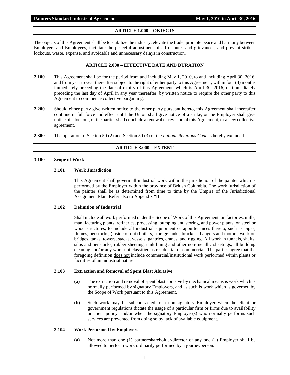# **ARTICLE 1.000 – OBJECTS**

<span id="page-2-0"></span>The objects of this Agreement shall be to stabilize the industry, elevate the trade, promote peace and harmony between Employers and Employees, facilitate the peaceful adjustment of all disputes and grievances, and prevent strikes, lockouts, waste, expense, and avoidable and unnecessary delays in construction.

# **ARTICLE 2.000 – EFFECTIVE DATE AND DURATION**

- <span id="page-2-1"></span>**2.100** This Agreement shall be for the period from and including May 1, 2010, to and including April 30, 2016, and from year to year thereafter subject to the right of either party to this Agreement, within four (4) months immediately preceding the date of expiry of this Agreement, which is April 30, 2016, or immediately preceding the last day of April in any year thereafter, by written notice to require the other party to this Agreement to commence collective bargaining.
- **2.200** Should either party give written notice to the other party pursuant hereto, this Agreement shall thereafter continue in full force and effect until the Union shall give notice of a strike, or the Employer shall give notice of a lockout, or the parties shall conclude a renewal or revision of this Agreement, or a new collective agreement.
- <span id="page-2-2"></span>**2.300** The operation of Section 50 (2) and Section 50 (3) of the *Labour Relations Code* is hereby excluded.

# **ARTICLE 3.000 – EXTENT**

#### **3.100 Scope of Work**

#### **3.101 Work Jurisdiction**

This Agreement shall govern all industrial work within the jurisdiction of the painter which is performed by the Employer within the province of British Columbia. The work jurisdiction of the painter shall be as determined from time to time by the Umpire of the Jurisdictional Assignment Plan. Refer also to Appendix "B".

#### **3.102 Definition of Industrial**

Shall include all work performed under the Scope of Work of this Agreement, on factories, mills, manufacturing plants, refineries, processing, pumping and storing, and power plants, on steel or wood structures, to include all industrial equipment or appurtenances thereto, such as pipes, flumes, penstocks, (inside or out) boilers, storage tanks, brackets, hangers and motors, work on bridges, tanks, towers, stacks, vessels, gantries, cranes, and rigging. All work in tunnels, shafts, silos and penstocks, rubber sheeting, tank lining and other non-metallic sheetings, all building cleaning and/or any work not classified as residential or commercial. The parties agree that the foregoing definition does not include commercial/institutional work performed within plants or facilities of an industrial nature.

#### **3.103 Extraction and Removal of Spent Blast Abrasive**

- **(a)** The extraction and removal of spent blast abrasive by mechanical means is work which is normally performed by signatory Employers, and as such is work which is governed by the Scope of Work pursuant to this Agreement.
- **(b)** Such work may be subcontracted to a non-signatory Employer when the client or government regulations dictate the usage of a particular firm or firms due to availability or client policy, and/or when the signatory Employer(s) who normally performs such services are prevented from doing so by lack of available equipment.

# **3.104 Work Performed by Employers**

**(a)** Not more than one (1) partner/shareholder/director of any one (1) Employer shall be allowed to perform work ordinarily performed by a journeyperson.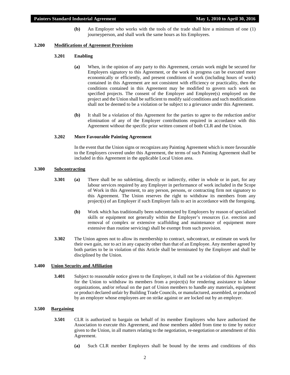**(b)** An Employer who works with the tools of the trade shall hire a minimum of one (1) journeyperson, and shall work the same hours as his Employees.

#### **3.200 Modifications of Agreement Provisions**

#### **3.201 Enabling**

- **(a)** When, in the opinion of any party to this Agreement, certain work might be secured for Employers signatory to this Agreement, or the work in progress can be executed more economically or efficiently, and present conditions of work (including hours of work) contained in this Agreement are not consistent with efficiency or practicality, then the conditions contained in this Agreement may be modified to govern such work on specified projects. The consent of the Employer and Employee(s) employed on the project and the Union shall be sufficient to modify said conditions and such modifications shall not be deemed to be a violation or be subject to a grievance under this Agreement.
- **(b)** It shall be a violation of this Agreement for the parties to agree to the reduction and/or elimination of any of the Employer contributions required in accordance with this Agreement without the specific prior written consent of both CLR and the Union.

#### **3.202 More Favourable Painting Agreement**

In the event that the Union signs or recognizes any Painting Agreement which is more favourable to the Employers covered under this Agreement, the terms of such Painting Agreement shall be included in this Agreement in the applicable Local Union area.

# **3.300 Subcontracting**

- **3.301 (a)** There shall be no subletting, directly or indirectly, either in whole or in part, for any labour services required by any Employer in performance of work included in the Scope of Work in this Agreement, to any person, persons, or contracting firm not signatory to this Agreement. The Union reserves the right to withdraw its members from any project(s) of an Employer if such Employer fails to act in accordance with the foregoing.
	- **(b)** Work which has traditionally been subcontracted by Employers by reason of specialized skills or equipment not generally within the Employer's resources (i.e. erection and removal of complex or extensive scaffolding and maintenance of equipment more extensive than routine servicing) shall be exempt from such provision.
- **3.302** The Union agrees not to allow its membership to contract, subcontract, or estimate on work for their own gain, nor to act in any capacity other than that of an Employee. Any member agreed by both parties to be in violation of this Article shall be terminated by the Employer and shall be disciplined by the Union.

#### **3.400 Union Security and Affiliation**

**3.401** Subject to reasonable notice given to the Employer, it shall not be a violation of this Agreement for the Union to withdraw its members from a project(s) for rendering assistance to labour organizations, and/or refusal on the part of Union members to handle any materials, equipment or product declared unfair by Building Trade Councils, or manufactured, assembled, or produced by an employer whose employees are on strike against or are locked out by an employer.

# **3.500 Bargaining**

- **3.501** CLR is authorized to bargain on behalf of its member Employers who have authorized the Association to execute this Agreement, and those members added from time to time by notice given to the Union, in all matters relating to the negotiation, re-negotiation or amendment of this Agreement.
	- **(a)** Such CLR member Employers shall be bound by the terms and conditions of this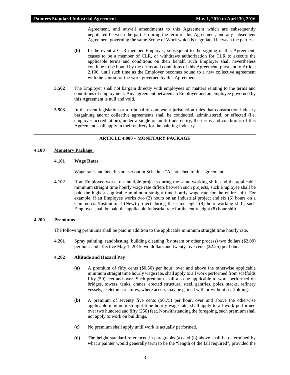Agreement, and any/all amendments to this Agreement which are subsequently negotiated between the parties during the term of this Agreement, and any subsequent Agreement governing the same Scope of Work which is negotiated between the parties.

- **(b)** In the event a CLR member Employer, subsequent to the signing of this Agreement, ceases to be a member of CLR, or withdraws authorization for CLR to execute the applicable terms and conditions on their behalf, such Employer shall nevertheless continue to be bound by the terms and conditions of this Agreement, pursuant to Article 2.100, until such time as the Employer becomes bound to a new collective agreement with the Union for the work governed by this Agreement.
- **3.502** The Employer shall not bargain directly with employees on matters relating to the terms and conditions of employment. Any agreement between an Employer and an employee governed by this Agreement is null and void.
- **3.503** In the event legislation or a tribunal of competent jurisdiction rules that construction industry bargaining and/or collective agreements shall be conducted, administered, or effected (i.e. employer accreditation), under a single or multi-trade entity, the terms and conditions of this Agreement shall apply in their entirety for the painting industry.

# **ARTICLE 4.000 – MONETARY PACKAGE**

# <span id="page-4-0"></span>**4.100 Monetary Package**

#### **4.101 Wage Rates**

Wage rates and benefits are set out in Schedule "A" attached to this agreement.

**4.102** If an Employee works on multiple projects during the same working shift, and the applicable minimum straight time hourly wage rate differs between such projects, such Employee shall be paid the highest applicable minimum straight time hourly wage rate for the entire shift. For example, if an Employee works two (2) hours on an Industrial project and six (6) hours on a Commercial/Institutional (New) project during the same eight (8) hour working shift, such Employee shall be paid the applicable Industrial rate for the entire eight (8) hour shift.

#### **4.200 Premiums**

The following premiums shall be paid in addition to the applicable minimum straight time hourly rate.

**4.201** Spray painting, sandblasting, building cleaning (by steam or other process) two dollars (\$2.00) per hour and effective May 1, 2015 two dollars and twenty-five cents (\$2.25) per hour.

#### **4.202 Altitude and Hazard Pay**

- **(a)** A premium of fifty cents (\$0.50) per hour, over and above the otherwise applicable minimum straight time hourly wage rate, shall apply to all work performed from scaffolds fifty (50) feet and over. Such premium shall also be applicable to work performed on bridges, towers, tanks, cranes, erected structural steel, gantries, poles, stacks, refinery vessels, skeleton structures, where access may be gained with or without scaffolding.
- **(b)** A premium of seventy five cents (\$0.75) per hour, over and above the otherwise applicable minimum straight time hourly wage rate, shall apply to all work performed over two hundred and fifty (250) feet. Notwithstanding the foregoing, such premium shall not apply to work on buildings.
- **(c)** No premium shall apply until work is actually performed.
- **(d)** The height standard referenced in paragraphs (a) and (b) above shall be determined by what a painter would generally term to be the "length of the fall required", provided the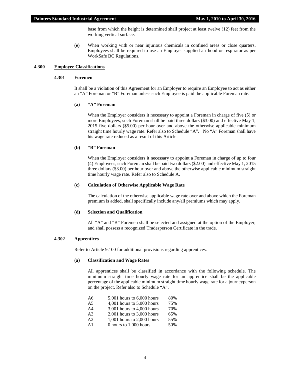base from which the height is determined shall project at least twelve (12) feet from the working vertical surface.

**(e)** When working with or near injurious chemicals in confined areas or close quarters, Employees shall be required to use an Employer supplied air hood or respirator as per WorkSafe BC Regulations.

#### **4.300 Employee Classifications**

# **4.301 Foremen**

It shall be a violation of this Agreement for an Employer to require an Employee to act as either an "A" Foreman or "B" Foreman unless such Employee is paid the applicable Foreman rate.

# **(a) "A" Foreman**

When the Employer considers it necessary to appoint a Foreman in charge of five (5) or more Employees, such Foreman shall be paid three dollars (\$3.00) and effective May 1, 2015 five dollars (\$5.00) per hour over and above the otherwise applicable minimum straight time hourly wage rate. Refer also to Schedule "A". No "A" Foreman shall have his wage rate reduced as a result of this Article.

#### **(b) "B" Foreman**

When the Employer considers it necessary to appoint a Foreman in charge of up to four (4) Employees, such Foreman shall be paid two dollars (\$2.00) and effective May 1, 2015 three dollars (\$3.00) per hour over and above the otherwise applicable minimum straight time hourly wage rate. Refer also to Schedule A.

#### **(c) Calculation of Otherwise Applicable Wage Rate**

The calculation of the otherwise applicable wage rate over and above which the Foreman premium is added, shall specifically include any/all premiums which may apply.

#### **(d) Selection and Qualification**

All "A" and "B" Foremen shall be selected and assigned at the option of the Employer, and shall possess a recognized Tradesperson Certificate in the trade.

# **4.302 Apprentices**

Refer to Article 9.100 for additional provisions regarding apprentices.

#### **(a) Classification and Wage Rates**

All apprentices shall be classified in accordance with the following schedule. The minimum straight time hourly wage rate for an apprentice shall be the applicable percentage of the applicable minimum straight time hourly wage rate for a journeyperson on the project. Refer also to Schedule "A".

| A6             | $5,001$ hours to $6,000$ hours | 80%                  |
|----------------|--------------------------------|----------------------|
| A5             | 4,001 hours to $5,000$ hours   | 75%                  |
| A4             | 3,001 hours to $4,000$ hours   | 70%                  |
| A <sub>3</sub> | $2,001$ hours to $3,000$ hours | 65%                  |
| A2             | $1,001$ hours to $2,000$ hours | 55%                  |
|                | 01 - 10001                     | $\sim$ $\sim$ $\sim$ |

A1 0 hours to 1,000 hours 50%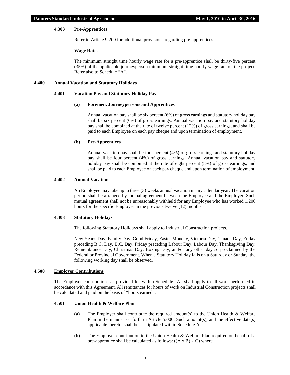# **4.303 Pre-Apprentices**

Refer to Article 9.200 for additional provisions regarding pre-apprentices.

#### **Wage Rates**

The minimum straight time hourly wage rate for a pre-apprentice shall be thirty-five percent (35%) of the applicable journeyperson minimum straight time hourly wage rate on the project. Refer also to Schedule "A".

# **4.400 Annual Vacation and Statutory Holidays**

#### **4.401 Vacation Pay and Statutory Holiday Pay**

#### **(a) Foremen, Journeypersons and Apprentices**

Annual vacation pay shall be six percent (6%) of gross earnings and statutory holiday pay shall be six percent (6%) of gross earnings. Annual vacation pay and statutory holiday pay shall be combined at the rate of twelve percent (12%) of gross earnings, and shall be paid to each Employee on each pay cheque and upon termination of employment.

#### **(b) Pre-Apprentices**

Annual vacation pay shall be four percent (4%) of gross earnings and statutory holiday pay shall be four percent (4%) of gross earnings. Annual vacation pay and statutory holiday pay shall be combined at the rate of eight percent  $(8%)$  of gross earnings, and shall be paid to each Employee on each pay cheque and upon termination of employment.

#### **4.402 Annual Vacation**

An Employee may take up to three (3) weeks annual vacation in any calendar year. The vacation period shall be arranged by mutual agreement between the Employee and the Employer. Such mutual agreement shall not be unreasonably withheld for any Employee who has worked 1,200 hours for the specific Employer in the previous twelve (12) months.

#### **4.403 Statutory Holidays**

The following Statutory Holidays shall apply to Industrial Construction projects.

New Year's Day, Family Day, Good Friday, Easter Monday, Victoria Day, Canada Day, Friday preceding B.C. Day, B.C. Day, Friday preceding Labour Day, Labour Day, Thanksgiving Day, Remembrance Day, Christmas Day, Boxing Day, and/or any other day so proclaimed by the Federal or Provincial Government. When a Statutory Holiday falls on a Saturday or Sunday, the following working day shall be observed.

#### **4.500 Employer Contributions**

The Employer contributions as provided for within Schedule "A" shall apply to all work performed in accordance with this Agreement. All remittances for hours of work on Industrial Construction projects shall be calculated and paid on the basis of "hours earned".

# **4.501 Union Health & Welfare Plan**

- **(a)** The Employer shall contribute the required amount(s) to the Union Health & Welfare Plan in the manner set forth in Article 5.000. Such amount(s), and the effective date(s) applicable thereto, shall be as stipulated within Schedule A.
- **(b)** The Employer contribution to the Union Health & Welfare Plan required on behalf of a pre-apprentice shall be calculated as follows:  $((A \times B) \div C)$  where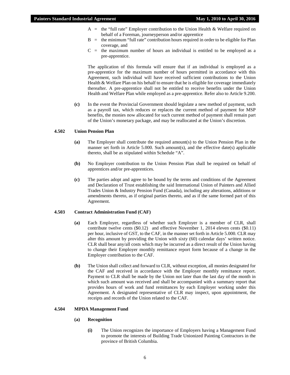- $A =$  the "full rate" Employer contribution to the Union Health & Welfare required on behalf of a Foreman, journeyperson and/or apprentice
- $B =$  the minimum "full rate" contribution hours required in order to be eligible for Plan coverage, and
- $C =$  the maximum number of hours an individual is entitled to be employed as a pre-apprentice.

The application of this formula will ensure that if an individual is employed as a pre-apprentice for the maximum number of hours permitted in accordance with this Agreement, such individual will have received sufficient contributions to the Union Health & Welfare Plan on his behalf to ensure that he is eligible for coverage immediately thereafter. A pre-apprentice shall not be entitled to receive benefits under the Union Health and Welfare Plan while employed as a pre-apprentice. Refer also to Article 9.200.

**(c)** In the event the Provincial Government should legislate a new method of payment, such as a payroll tax, which reduces or replaces the current method of payment for MSP benefits, the monies now allocated for such current method of payment shall remain part of the Union's monetary package, and may be reallocated at the Union's discretion.

#### **4.502 Union Pension Plan**

- **(a)** The Employer shall contribute the required amount(s) to the Union Pension Plan in the manner set forth in Article 5.000. Such amount(s), and the effective date(s) applicable thereto, shall be as stipulated within Schedule "A".
- **(b)** No Employer contribution to the Union Pension Plan shall be required on behalf of apprentices and/or pre-apprentices.
- **(c)** The parties adopt and agree to be bound by the terms and conditions of the Agreement and Declaration of Trust establishing the said International Union of Painters and Allied Trades Union & Industry Pension Fund (Canada), including any alterations, additions or amendments thereto, as if original parties thereto, and as if the same formed part of this Agreement.

#### **4.503 Contract Administration Fund (CAF)**

- **(a)** Each Employer, regardless of whether such Employer is a member of CLR, shall contribute twelve cents (\$0.12) and effective November 1, 2014 eleven cents (\$0.11) per hour, inclusive of GST, to the CAF, in the manner set forth in Article 5.000. CLR may alter this amount by providing the Union with sixty (60) calendar days' written notice. CLR shall bear any/all costs which may be incurred as a direct result of the Union having to change their Employer monthly remittance report form because of a change in the Employer contribution to the CAF.
- **(b)** The Union shall collect and forward to CLR, without exception, all monies designated for the CAF and received in accordance with the Employer monthly remittance report. Payment to CLR shall be made by the Union not later than the last day of the month in which such amount was received and shall be accompanied with a summary report that provides hours of work and fund remittances by each Employer working under this Agreement. A designated representative of CLR may inspect, upon appointment, the receipts and records of the Union related to the CAF.

#### **4.504 MPDA Management Fund**

#### **(a) Recognition**

**(i)** The Union recognizes the importance of Employers having a Management Fund to promote the interests of Building Trade Unionized Painting Contractors in the province of British Columbia.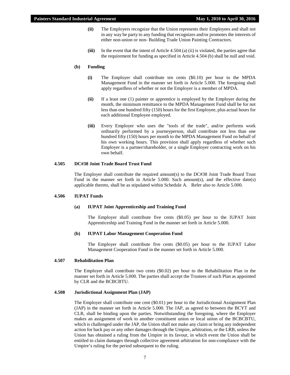- **(ii)** The Employers recognize that the Union represents their Employees and shall not in any way be party to any funding that recognizes and/or promotes the interests of either non-union or non- Building Trade Union Painting Contractors.
- **(iii)** In the event that the intent of Article 4.504 (a) (ii) is violated, the parties agree that the requirement for funding as specified in Article 4.504 (b) shall be null and void.

# **(b) Funding**

- **(i)** The Employer shall contribute ten cents (\$0.10) per hour to the MPDA Management Fund in the manner set forth in Article 5.000. The foregoing shall apply regardless of whether or not the Employer is a member of MPDA.
- **(ii)** If a least one (1) painter or apprentice is employed by the Employer during the month, the minimum remittance to the MPDA Management Fund shall be for not less than one hundred fifty (150) hours for the first Employee, plus actual hours for each additional Employee employed.
- **(iii)** Every Employer who uses the "tools of the trade", and/or performs work ordinarily performed by a journeyperson, shall contribute not less than one hundred fifty (150) hours per month to the MPDA Management Fund on behalf of his own working hours. This provision shall apply regardless of whether such Employer is a partner/shareholder, or a single Employer contracting work on his own behalf.

#### **4.505 DC#38 Joint Trade Board Trust Fund**

The Employer shall contribute the required amount(s) to the DC#38 Joint Trade Board Trust Fund in the manner set forth in Article 5.000. Such amount(s), and the effective date(s) applicable thereto, shall be as stipulated within Schedule A. Refer also to Article 5.000.

#### **4.506 IUPAT Funds**

#### **(a) IUPAT Joint Apprenticeship and Training Fund**

The Employer shall contribute five cents (\$0.05) per hour to the IUPAT Joint Apprenticeship and Training Fund in the manner set forth in Article 5.000.

#### **(b) IUPAT Labor Management Cooperation Fund**

The Employer shall contribute five cents (\$0.05) per hour to the IUPAT Labor Management Cooperation Fund in the manner set forth in Article 5.000.

# **4.507 Rehabilitation Plan**

The Employer shall contribute two cents (\$0.02) per hour to the Rehabilitation Plan in the manner set forth in Article 5.000. The parties shall accept the Trustees of such Plan as appointed by CLR and the BCBCBTU.

#### **4.508 Jurisdictional Assignment Plan (JAP)**

The Employer shall contribute one cent (\$0.01) per hour to the Jurisdictional Assignment Plan (JAP) in the manner set forth in Article 5.000. The JAP, as agreed to between the BCYT and CLR, shall be binding upon the parties. Notwithstanding the foregoing, where the Employer makes an assignment of work to another constituent union or local union of the BCBCBTU, which is challenged under the JAP, the Union shall not make any claim or bring any independent action for back pay or any other damages through the Umpire, arbitration, or the LRB, unless the Union has obtained a ruling from the Umpire in its favour, in which event the Union shall be entitled to claim damages through collective agreement arbitration for non-compliance with the Umpire's ruling for the period subsequent to the ruling.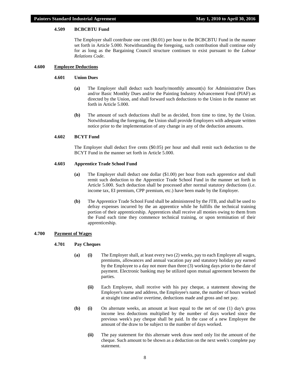# **4.509 BCBCBTU Fund**

The Employer shall contribute one cent (\$0.01) per hour to the BCBCBTU Fund in the manner set forth in Article 5.000. Notwithstanding the foregoing, such contribution shall continue only for as long as the Bargaining Council structure continues to exist pursuant to the *Labour Relations Code*.

# **4.600 Employee Deductions**

#### **4.601 Union Dues**

- **(a)** The Employer shall deduct such hourly/monthly amount(s) for Administrative Dues and/or Basic Monthly Dues and/or the Painting Industry Advancement Fund (PIAF) as directed by the Union, and shall forward such deductions to the Union in the manner set forth in Article 5.000.
- **(b)** The amount of such deductions shall be as decided, from time to time, by the Union. Notwithstanding the foregoing, the Union shall provide Employers with adequate written notice prior to the implementation of any change in any of the deduction amounts.

# **4.602 BCYT Fund**

The Employer shall deduct five cents (\$0.05) per hour and shall remit such deduction to the BCYT Fund in the manner set forth in Article 5.000.

# **4.603 Apprentice Trade School Fund**

- **(a)** The Employer shall deduct one dollar (\$1.00) per hour from each apprentice and shall remit such deduction to the Apprentice Trade School Fund in the manner set forth in Article 5.000. Such deduction shall be processed after normal statutory deductions (i.e. income tax, EI premium, CPP premium, etc.) have been made by the Employer.
- **(b)** The Apprentice Trade School Fund shall be administered by the JTB, and shall be used to defray expenses incurred by the an apprentice while he fulfills the technical training portion of their apprenticeship. Apprentices shall receive all monies owing to them from the Fund each time they commence technical training, or upon termination of their apprenticeship.

#### **4.700 Payment of Wages**

# **4.701 Pay Cheques**

- **(a) (i)** The Employer shall, at least every two (2) weeks, pay to each Employee all wages, premiums, allowances and annual vacation pay and statutory holiday pay earned by the Employee to a day not more than three (3) working days prior to the date of payment. Electronic banking may be utilized upon mutual agreement between the parties.
	- **(ii)** Each Employee, shall receive with his pay cheque, a statement showing the Employer's name and address, the Employee's name, the number of hours worked at straight time and/or overtime, deductions made and gross and net pay.
- **(b) (i)** On alternate weeks, an amount at least equal to the net of one (1) day's gross income less deductions multiplied by the number of days worked since the previous week's pay cheque shall be paid. In the case of a new Employee the amount of the draw to be subject to the number of days worked.
	- **(ii)** The pay statement for this alternate week draw need only list the amount of the cheque. Such amount to be shown as a deduction on the next week's complete pay statement.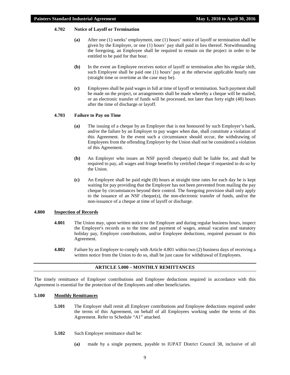# **4.702 Notice of Layoff or Termination**

- **(a)** After one (1) weeks' employment, one (1) hours' notice of layoff or termination shall be given by the Employer, or one (1) hours' pay shall paid in lieu thereof. Notwithstanding the foregoing, an Employee shall be required to remain on the project in order to be entitled to be paid for that hour.
- **(b)** In the event an Employee receives notice of layoff or termination after his regular shift, such Employee shall be paid one (1) hours' pay at the otherwise applicable hourly rate (straight time or overtime as the case may be).
- **(c)** Employees shall be paid wages in full at time of layoff or termination. Such payment shall be made on the project, or arrangements shall be made whereby a cheque will be mailed, or an electronic transfer of funds will be processed, not later than forty eight (48) hours after the time of discharge or layoff.

# **4.703 Failure to Pay on Time**

- **(a)** The issuing of a cheque by an Employer that is not honoured by such Employer's bank, and/or the failure by an Employer to pay wages when due, shall constitute a violation of this Agreement. In the event such a circumstance should occur, the withdrawing of Employees from the offending Employer by the Union shall not be considered a violation of this Agreement.
- **(b)** An Employer who issues an NSF payroll cheque(s) shall be liable for, and shall be required to pay, all wages and fringe benefits by certified cheque if requested to do so by the Union.
- **(c)** An Employee shall be paid eight (8) hours at straight time rates for each day he is kept waiting for pay providing that the Employer has not been prevented from mailing the pay cheque by circumstances beyond their control. The foregoing provision shall only apply to the issuance of an NSF cheque(s), the non-electronic transfer of funds, and/or the non-issuance of a cheque at time of layoff or discharge.

#### **4.800 Inspection of Records**

- **4.801** The Union may, upon written notice to the Employer and during regular business hours, inspect the Employer's records as to the time and payment of wages, annual vacation and statutory holiday pay, Employer contributions, and/or Employee deductions, required pursuant to this Agreement.
- **4.802** Failure by an Employer to comply with Article 4.801 within two (2) business days of receiving a written notice from the Union to do so, shall be just cause for withdrawal of Employees.

# **ARTICLE 5.000 – MONTHLY REMITTANCES**

<span id="page-10-0"></span>The timely remittance of Employer contributions and Employee deductions required in accordance with this Agreement is essential for the protection of the Employees and other beneficiaries.

# **5.100 Monthly Remittances**

- **5.101** The Employer shall remit all Employer contributions and Employee deductions required under the terms of this Agreement, on behalf of all Employees working under the terms of this Agreement. Refer to Schedule "A1" attached.
- **5.102** Such Employer remittance shall be:
	- **(a)** made by a single payment, payable to IUPAT District Council 38, inclusive of all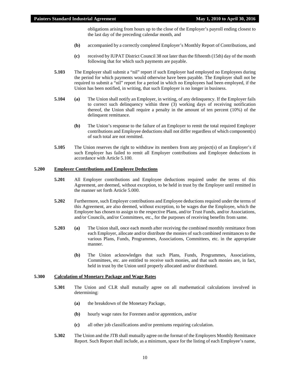obligations arising from hours up to the close of the Employer's payroll ending closest to the last day of the preceding calendar month, and

- **(b)** accompanied by a correctly completed Employer's Monthly Report of Contributions, and
- **(c)** received by IUPAT District Council 38 not later than the fifteenth (15th) day of the month following that for which such payments are payable.
- **5.103** The Employer shall submit a "nil" report if such Employer had employed no Employees during the period for which payments would otherwise have been payable. The Employer shall not be required to submit a "nil" report for a period in which no Employees had been employed, if the Union has been notified, in writing, that such Employer is no longer in business.
- **5.104 (a)** The Union shall notify an Employer, in writing, of any delinquency. If the Employer fails to correct such delinquency within three (3) working days of receiving notification thereof, the Union shall require a penalty in the amount of ten percent (10%) of the delinquent remittance.
	- **(b)** The Union's response to the failure of an Employer to remit the total required Employer contributions and Employee deductions shall not differ regardless of which component(s) of such total are not remitted.
- **5.105** The Union reserves the right to withdraw its members from any project(s) of an Employer's if such Employer has failed to remit all Employer contributions and Employee deductions in accordance with Article 5.100.

# **5.200 Employer Contributions and Employee Deductions**

- **5.201** All Employer contributions and Employee deductions required under the terms of this Agreement, are deemed, without exception, to be held in trust by the Employer until remitted in the manner set forth Article 5.000.
- **5.202** Furthermore, such Employer contributions and Employee deductions required under the terms of this Agreement, are also deemed, without exception, to be wages due the Employee, which the Employee has chosen to assign to the respective Plans, and/or Trust Funds, and/or Associations, and/or Councils, and/or Committees, etc., for the purposes of receiving benefits from same.
- **5.203 (a)** The Union shall, once each month after receiving the combined monthly remittance from each Employer, allocate and/or distribute the monies of such combined remittances to the various Plans, Funds, Programmes, Associations, Committees, etc. in the appropriate manner.
	- **(b)** The Union acknowledges that such Plans, Funds, Programmes, Associations, Committees, etc. are entitled to receive such monies, and that such monies are, in fact, held in trust by the Union until properly allocated and/or distributed.

# **5.300 Calculation of Monetary Package and Wage Rates**

- **5.301** The Union and CLR shall mutually agree on all mathematical calculations involved in determining:
	- **(a)** the breakdown of the Monetary Package,
	- **(b)** hourly wage rates for Foremen and/or apprentices, and/or
	- **(c)** all other job classifications and/or premiums requiring calculation.
- **5.302** The Union and the JTB shall mutually agree on the format of the Employers Monthly Remittance Report. Such Report shall include, as a minimum, space for the listing of each Employee's name,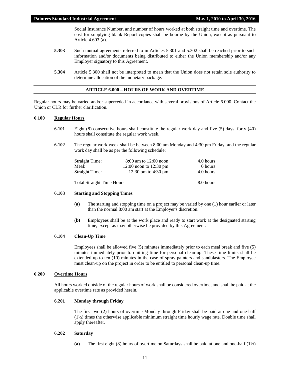Social Insurance Number, and number of hours worked at both straight time and overtime. The cost for supplying blank Report copies shall be bourne by the Union, except as pursuant to Article 4.603 (a).

- **5.303** Such mutual agreements referred to in Articles 5.301 and 5.302 shall be reached prior to such information and/or documents being distributed to either the Union membership and/or any Employer signatory to this Agreement.
- **5.304** Article 5.300 shall not be interpreted to mean that the Union does not retain sole authority to determine allocation of the monetary package.

# **ARTICLE 6.000 – HOURS OF WORK AND OVERTIME**

<span id="page-12-0"></span>Regular hours may be varied and/or superceded in accordance with several provisions of Article 6.000. Contact the Union or CLR for further clarification.

# **6.100 Regular Hours**

- **6.101** Eight (8) consecutive hours shall constitute the regular work day and five (5) days, forty (40) hours shall constitute the regular work week.
- **6.102** The regular work week shall be between 8:00 am Monday and 4:30 pm Friday, and the regular work day shall be as per the following schedule:

| <b>Straight Time:</b> | $8:00$ am to $12:00$ noon  | 4.0 hours |
|-----------------------|----------------------------|-----------|
| Meal:                 | $12:00$ noon to $12:30$ pm | 0 hours   |
| <b>Straight Time:</b> | 12:30 pm to $4:30$ pm      | 4.0 hours |
|                       |                            |           |

Total Straight Time Hours: 8.0 hours

# **6.103 Starting and Stopping Times**

- **(a)** The starting and stopping time on a project may be varied by one (1) hour earlier or later than the normal 8:00 am start at the Employer's discretion.
- **(b)** Employees shall be at the work place and ready to start work at the designated starting time, except as may otherwise be provided by this Agreement.

#### **6.104 Clean-Up Time**

Employees shall be allowed five (5) minutes immediately prior to each meal break and five (5) minutes immediately prior to quitting time for personal clean-up. These time limits shall be extended up to ten (10) minutes in the case of spray painters and sandblasters. The Employee must clean-up on the project in order to be entitled to personal clean-up time.

# **6.200 Overtime Hours**

All hours worked outside of the regular hours of work shall be considered overtime, and shall be paid at the applicable overtime rate as provided herein.

#### **6.201 Monday through Friday**

The first two (2) hours of overtime Monday through Friday shall be paid at one and one-half (1½) times the otherwise applicable minimum straight time hourly wage rate. Double time shall apply thereafter.

# **6.202 Saturday**

**(a)** The first eight (8) hours of overtime on Saturdays shall be paid at one and one-half (1½)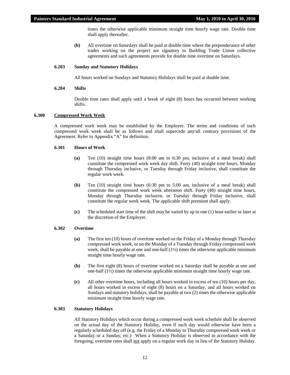times the otherwise applicable minimum straight time hourly wage rate. Double time shall apply thereafter.

**(b)** All overtime on Saturdays shall be paid at double time where the preponderance of other trades working on the project are signatory to Building Trade Union collective agreements and such agreements provide for double time overtime on Saturdays.

#### **6.203 Sunday and Statutory Holidays**

All hours worked on Sundays and Statutory Holidays shall be paid at double time.

# **6.204 Shifts**

Double time rates shall apply until a break of eight (8) hours has occurred between working shifts.

# **6.300 Compressed Work Week**

A compressed work week may be established by the Employer. The terms and conditions of such compressed work week shall be as follows and shall supercede any/all contrary provisions of the Agreement. Refer to Appendix "A" for definition.

#### **6.301 Hours of Work**

- **(a)** Ten (10) straight time hours (8:00 am to 6:30 pm, inclusive of a meal break) shall constitute the compressed work week day shift. Forty (40) straight time hours, Monday through Thursday inclusive, or Tuesday through Friday inclusive, shall constitute the regular work week.
- **(b)** Ten (10) straight time hours (6:30 pm to 5:00 am, inclusive of a meal break) shall constitute the compressed work week afternoon shift. Forty (40) straight time hours, Monday through Thursday inclusive, or Tuesday through Friday inclusive, shall constitute the regular work week. The applicable shift premium shall apply.
- **(c)** The scheduled start time of the shift may be varied by up to one (1) hour earlier or later at the discretion of the Employer.

# **6.302 Overtime**

- **(a)** The first ten (10) hours of overtime worked on the Friday of a Monday through Thursday compressed work week, or on the Monday of a Tuesday through Friday compressed work week, shall be payable at one and one-half  $(1/2)$  times the otherwise applicable minimum straight time hourly wage rate.
- **(b)** The first eight (8) hours of overtime worked on a Saturday shall be payable at one and one-half (1½) times the otherwise applicable minimum straight time hourly wage rate.
- **(c)** All other overtime hours, including all hours worked in excess of ten (10) hours per day, all hours worked in excess of eight (8) hours on a Saturday, and all hours worked on Sundays and statutory holidays, shall be payable at two (2) times the otherwise applicable minimum straight time hourly wage rate.

# **6.303 Statutory Holidays**

All Statutory Holidays which occur during a compressed work week schedule shall be observed on the actual day of the Statutory Holiday, even if such day would otherwise have been a regularly scheduled day off (e.g. the Friday of a Monday to Thursday compressed work week or a Saturday or a Sunday, etc.) When a Statutory Holiday is observed in accordance with the foregoing, overtime rates shall not apply on a regular work day in lieu of the Statutory Holiday.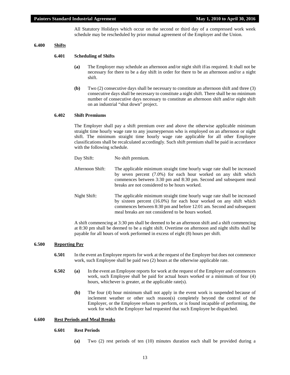All Statutory Holidays which occur on the second or third day of a compressed work week schedule may be rescheduled by prior mutual agreement of the Employer and the Union.

# **6.400 Shifts**

#### **6.401 Scheduling of Shifts**

- **(a)** The Employer may schedule an afternoon and/or night shift if/as required. It shall not be necessary for there to be a day shift in order for there to be an afternoon and/or a night shift.
- **(b)** Two (2) consecutive days shall be necessary to constitute an afternoon shift and three (3) consecutive days shall be necessary to constitute a night shift. There shall be no minimum number of consecutive days necessary to constitute an afternoon shift and/or night shift on an industrial "shut down" project.

# **6.402 Shift Premiums**

The Employer shall pay a shift premium over and above the otherwise applicable minimum straight time hourly wage rate to any journeyperson who is employed on an afternoon or night shift. The minimum straight time hourly wage rate applicable for all other Employee classifications shall be recalculated accordingly. Such shift premium shall be paid in accordance with the following schedule.

| Day Shift: | No shift premium. |
|------------|-------------------|
|            |                   |

- Afternoon Shift: The applicable minimum straight time hourly wage rate shall be increased by seven percent (7.0%) for each hour worked on any shift which commences between 3:30 pm and 8:30 pm. Second and subsequent meal breaks are not considered to be hours worked.
- Night Shift: The applicable minimum straight time hourly wage rate shall be increased by sixteen percent (16.0%) for each hour worked on any shift which commences between 8:30 pm and before 12:01 am. Second and subsequent meal breaks are not considered to be hours worked.

A shift commencing at 3:30 pm shall be deemed to be an afternoon shift and a shift commencing at 8:30 pm shall be deemed to be a night shift. Overtime on afternoon and night shifts shall be payable for all hours of work performed in excess of eight (8) hours per shift.

#### **6.500 Reporting Pay**

- **6.501** In the event an Employee reports for work at the request of the Employer but does not commence work, such Employee shall be paid two (2) hours at the otherwise applicable rate.
- **6.502 (a)** In the event an Employee reports for work at the request of the Employer and commences work, such Employee shall be paid for actual hours worked or a minimum of four (4) hours, whichever is greater, at the applicable rate(s).
	- **(b)** The four (4) hour minimum shall not apply in the event work is suspended because of inclement weather or other such reason(s) completely beyond the control of the Employer, or the Employee refuses to perform, or is found incapable of performing, the work for which the Employer had requested that such Employee be dispatched.

#### **6.600 Rest Periods and Meal Breaks**

#### **6.601 Rest Periods**

**(a)** Two (2) rest periods of ten (10) minutes duration each shall be provided during a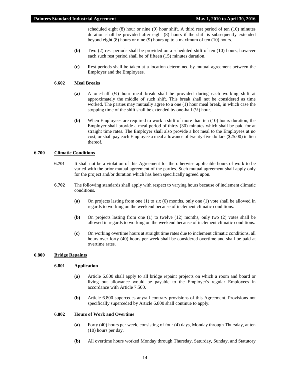scheduled eight (8) hour or nine (9) hour shift. A third rest period of ten (10) minutes duration shall be provided after eight (8) hours if the shift is subsequently extended beyond eight (8) hours or nine (9) hours up to a maximum of ten (10) hours.

- **(b)** Two (2) rest periods shall be provided on a scheduled shift of ten (10) hours, however each such rest period shall be of fifteen (15) minutes duration.
- **(c)** Rest periods shall be taken at a location determined by mutual agreement between the Employer and the Employees.

# **6.602 Meal Breaks**

- **(a)** A one-half (½) hour meal break shall be provided during each working shift at approximately the middle of such shift. This break shall not be considered as time worked. The parties may mutually agree to a one (1) hour meal break, in which case the stopping time of the shift shall be extended by one-half  $(\frac{1}{2})$  hour.
- **(b)** When Employees are required to work a shift of more than ten (10) hours duration, the Employer shall provide a meal period of thirty (30) minutes which shall be paid for at straight time rates. The Employer shall also provide a hot meal to the Employees at no cost, or shall pay each Employee a meal allowance of twenty-five dollars (\$25.00) in lieu thereof.

#### **6.700 Climatic Conditions**

- **6.701** It shall not be a violation of this Agreement for the otherwise applicable hours of work to be varied with the prior mutual agreement of the parties. Such mutual agreement shall apply only for the project and/or duration which has been specifically agreed upon.
- **6.702** The following standards shall apply with respect to varying hours because of inclement climatic conditions.
	- **(a)** On projects lasting from one (1) to six (6) months, only one (1) vote shall be allowed in regards to working on the weekend because of inclement climatic conditions.
	- **(b)** On projects lasting from one (1) to twelve (12) months, only two (2) votes shall be allowed in regards to working on the weekend because of inclement climatic conditions.
	- **(c)** On working overtime hours at straight time rates due to inclement climatic conditions, all hours over forty (40) hours per week shall be considered overtime and shall be paid at overtime rates.

# **6.800 Bridge Repaints**

#### **6.801 Application**

- **(a)** Article 6.800 shall apply to all bridge repaint projects on which a room and board or living out allowance would be payable to the Employer's regular Employees in accordance with Article 7.500.
- **(b)** Article 6.800 supercedes any/all contrary provisions of this Agreement. Provisions not specifically superceded by Article 6.800 shall continue to apply.

## **6.802 Hours of Work and Overtime**

- **(a)** Forty (40) hours per week, consisting of four (4) days, Monday through Thursday, at ten (10) hours per day.
- **(b)** All overtime hours worked Monday through Thursday, Saturday, Sunday, and Statutory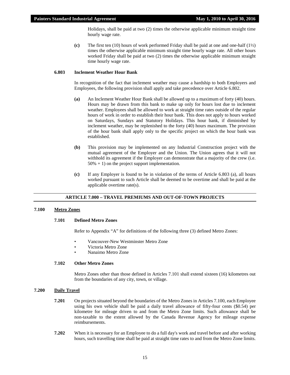Holidays, shall be paid at two (2) times the otherwise applicable minimum straight time hourly wage rate.

**(c)** The first ten (10) hours of work performed Friday shall be paid at one and one-half (1½) times the otherwise applicable minimum straight time hourly wage rate. All other hours worked Friday shall be paid at two (2) times the otherwise applicable minimum straight time hourly wage rate.

#### **6.803 Inclement Weather Hour Bank**

In recognition of the fact that inclement weather may cause a hardship to both Employers and Employees, the following provision shall apply and take precedence over Article 6.802.

- **(a)** An Inclement Weather Hour Bank shall be allowed up to a maximum of forty (40) hours. Hours may be drawn from this bank to make up only for hours lost due to inclement weather. Employees shall be allowed to work at straight time rates outside of the regular hours of work in order to establish their hour bank. This does not apply to hours worked on Saturdays, Sundays and Statutory Holidays. This hour bank, if diminished by inclement weather, may be replenished to the forty (40) hours maximum. The provision of the hour bank shall apply only to the specific project on which the hour bank was established.
- **(b)** This provision may be implemented on any Industrial Construction project with the mutual agreement of the Employer and the Union. The Union agrees that it will not withhold its agreement if the Employer can demonstrate that a majority of the crew (i.e.  $50\% + 1$ ) on the project support implementation.
- **(c)** If any Employer is found to be in violation of the terms of Article 6.803 (a), all hours worked pursuant to such Article shall be deemed to be overtime and shall be paid at the applicable overtime rate(s).

#### **ARTICLE 7.000 – TRAVEL PREMIUMS AND OUT-OF-TOWN PROJECTS**

# <span id="page-16-0"></span>**7.100 Metro Zones**

#### **7.101 Defined Metro Zones**

Refer to Appendix "A" for definitions of the following three (3) defined Metro Zones:

- Vancouver-New Westminster Metro Zone
- Victoria Metro Zone
- Nanaimo Metro Zone

# **7.102 Other Metro Zones**

Metro Zones other than those defined in Articles 7.101 shall extend sixteen (16) kilometres out from the boundaries of any city, town, or village.

#### **7.200 Daily Travel**

- **7.201** On projects situated beyond the boundaries of the Metro Zones in Articles 7.100, each Employee using his own vehicle shall be paid a daily travel allowance of fifty-four cents (\$0.54) per kilometre for mileage driven to and from the Metro Zone limits. Such allowance shall be non-taxable to the extent allowed by the Canada Revenue Agency for mileage expense reimbursements.
- **7.202** When it is necessary for an Employee to do a full day's work and travel before and after working hours, such travelling time shall be paid at straight time rates to and from the Metro Zone limits.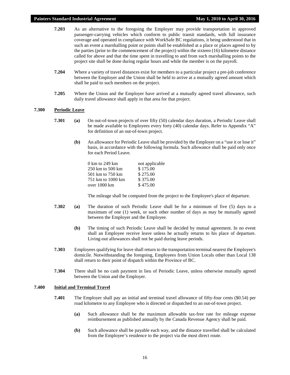- **7.203** As an alternative to the foregoing the Employer may provide transportation in approved passenger-carrying vehicles which conform to public transit standards, with full insurance coverage and operated in compliance with WorkSafe BC regulations, it being understood that in such an event a marshalling point or points shall be established at a place or places agreed to by the parties (prior to the commencement of the project) within the sixteen (16) kilometre distance called for above and that the time spent in travelling to and from such marshalling points to the project site shall be done during regular hours and while the member is on the payroll.
- **7.204** Where a variety of travel distances exist for members to a particular project a pre-job conference between the Employer and the Union shall be held to arrive at a mutually agreed amount which shall be paid to such members on the project.
- **7.205** Where the Union and the Employer have arrived at a mutually agreed travel allowance, such daily travel allowance shall apply in that area for that project.

#### **7.300 Periodic Leave**

- **7.301 (a)** On out-of-town projects of over fifty (50) calendar days duration, a Periodic Leave shall be made available to Employees every forty (40) calendar days. Refer to Appendix "A" for definition of an out-of-town project.
	- **(b)** An allowance for Periodic Leave shall be provided by the Employer on a "use it or lose it" basis, in accordance with the following formula. Such allowance shall be paid only once for each Period Leave.

| 0 km to 249 km    | not applicable |
|-------------------|----------------|
| 250 km to 500 km  | \$175.00       |
| 501 km to 750 km  | \$275.00       |
| 751 km to 1000 km | \$375.00       |
| over 1000 km      | \$475.00       |

The mileage shall be computed from the project to the Employee's place of departure.

- **7.302 (a)** The duration of such Periodic Leave shall be for a minimum of five (5) days to a maximum of one (1) week, or such other number of days as may be mutually agreed between the Employer and the Employee.
	- **(b)** The timing of such Periodic Leave shall be decided by mutual agreement. In no event shall an Employee receive leave unless he actually returns to his place of departure. Living-out allowances shall not be paid during leave periods.
- **7.303** Employees qualifying for leave shall return to the transportation terminal nearest the Employee's domicile. Notwithstanding the foregoing, Employees from Union Locals other than Local 138 shall return to their point of dispatch within the Province of BC.
- **7.304** There shall be no cash payment in lieu of Periodic Leave, unless otherwise mutually agreed between the Union and the Employer.

# **7.400 Initial and Terminal Travel**

- **7.401** The Employer shall pay an initial and terminal travel allowance of fifty-four cents (\$0.54) per road kilometre to any Employee who is directed or dispatched to an out-of-town project.
	- **(a)** Such allowance shall be the maximum allowable tax-free rate for mileage expense reimbursement as published annually by the Canada Revenue Agency shall be paid.
	- **(b)** Such allowance shall be payable each way, and the distance travelled shall be calculated from the Employee's residence to the project via the most direct route.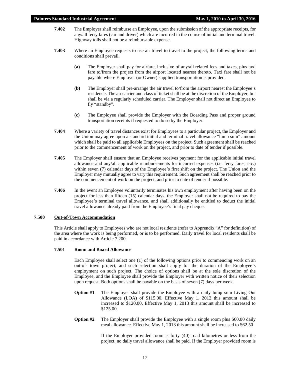## **Painters Standard Industrial Agreement May 1, 2010 to April 30, 2016**

- **7.402** The Employer shall reimburse an Employee, upon the submission of the appropriate receipts, for any/all ferry fares (car and driver) which are incurred in the course of initial and terminal travel. Highway tolls shall not be a reimbursable expense.
- **7.403** Where an Employee requests to use air travel to travel to the project, the following terms and conditions shall prevail.
	- **(a)** The Employer shall pay for airfare, inclusive of any/all related fees and taxes, plus taxi fare to/from the project from the airport located nearest thereto. Taxi fare shall not be payable where Employer (or Owner) supplied transportation is provided.
	- **(b)** The Employer shall pre-arrange the air travel to/from the airport nearest the Employee's residence. The air carrier and class of ticket shall be at the discretion of the Employer, but shall be via a regularly scheduled carrier. The Employer shall not direct an Employee to fly "standby".
	- **(c)** The Employee shall provide the Employer with the Boarding Pass and proper ground transportation receipts if requested to do so by the Employer.
- **7.404** Where a variety of travel distances exist for Employees to a particular project, the Employer and the Union may agree upon a standard initial and terminal travel allowance "lump sum" amount which shall be paid to all applicable Employees on the project. Such agreement shall be reached prior to the commencement of work on the project, and prior to date of tender if possible.
- **7.405** The Employer shall ensure that an Employee receives payment for the applicable initial travel allowance and any/all applicable reimbursements for incurred expenses (i.e. ferry fares, etc.) within seven (7) calendar days of the Employee's first shift on the project. The Union and the Employer may mutually agree to vary this requirement. Such agreement shall be reached prior to the commencement of work on the project, and prior to date of tender if possible.
- **7.406** In the event an Employee voluntarily terminates his own employment after having been on the project for less than fifteen (15) calendar days, the Employer shall not be required to pay the Employee's terminal travel allowance, and shall additionally be entitled to deduct the initial travel allowance already paid from the Employee's final pay cheque.

#### **7.500 Out-of-Town Accommodation**

This Article shall apply to Employees who are not local residents (refer to Apprendix "A" for definition) of the area where the work is being performed, or is to be performed. Daily travel for local residents shall be paid in accordance with Article 7.200.

# **7.501 Room and Board Allowance**

Each Employee shall select one (1) of the following options prior to commencing work on an out-of- town project, and such selection shall apply for the duration of the Employee's employment on such project. The choice of options shall be at the sole discretion of the Employee, and the Employee shall provide the Employer with written notice of their selection upon request. Both options shall be payable on the basis of seven (7) days per week.

- **Option #1** The Employer shall provide the Employee with a daily lump sum Living Out Allowance (LOA) of \$115.00. Effective May 1, 2012 this amount shall be increased to \$120.00. Effective May 1, 2013 this amount shall be increased to \$125.00.
- **Option #2** The Employer shall provide the Employee with a single room plus \$60.00 daily meal allowance. Effective May 1, 2013 this amount shall be increased to \$62.50

If the Employer provided room is forty (40) road kilometres or less from the project, no daily travel allowance shall be paid. If the Employer provided room is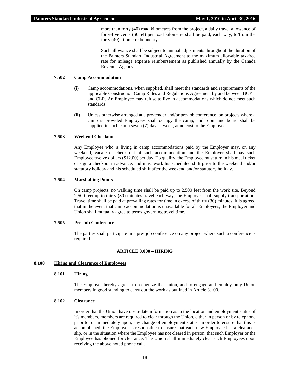more than forty (40) road kilometres from the project, a daily travel allowance of forty-five cents (\$0.54) per road kilometre shall be paid, each way, to/from the forty (40) kilometre boundary.

Such allowance shall be subject to annual adjustments throughout the duration of the Painters Standard Industrial Agreement to the maximum allowable tax-free rate for mileage expense reimbursement as published annually by the Canada Revenue Agency.

# **7.502 Camp Accommodation**

- **(i)** Camp accommodations, when supplied, shall meet the standards and requirements of the applicable Construction Camp Rules and Regulations Agreement by and between BCYT and CLR. An Employee may refuse to live in accommodations which do not meet such standards.
- **(ii)** Unless otherwise arranged at a pre-tender and/or pre-job conference, on projects where a camp is provided Employees shall occupy the camp, and room and board shall be supplied in such camp seven (7) days a week, at no cost to the Employee.

#### **7.503 Weekend Checkout**

Any Employee who is living in camp accommodations paid by the Employer may, on any weekend, vacate or check out of such accommodation and the Employer shall pay such Employee twelve dollars (\$12.00) per day. To qualify, the Employee must turn in his meal ticket or sign a checkout in advance, and must work his scheduled shift prior to the weekend and/or statutory holiday and his scheduled shift after the weekend and/or statutory holiday.

#### **7.504 Marshalling Points**

On camp projects, no walking time shall be paid up to 2,500 feet from the work site. Beyond 2,500 feet up to thirty (30) minutes travel each way, the Employer shall supply transportation. Travel time shall be paid at prevailing rates for time in excess of thirty (30) minutes. It is agreed that in the event that camp accommodation is unavailable for all Employees, the Employer and Union shall mutually agree to terms governing travel time.

#### **7.505 Pre Job Conference**

The parties shall participate in a pre- job conference on any project where such a conference is required.

# **ARTICLE 8.000 – HIRING**

#### <span id="page-19-0"></span>**8.100 Hiring and Clearance of Employees**

# **8.101 Hiring**

The Employer hereby agrees to recognize the Union, and to engage and employ only Union members in good standing to carry out the work as outlined in Article 3.100.

# **8.102 Clearance**

In order that the Union have up-to-date information as to the location and employment status of it's members, members are required to clear through the Union, either in person or by telephone prior to, or immediately upon, any change of employment status. In order to ensure that this is accomplished, the Employer is responsible to ensure that each new Employee has a clearance slip, or in the situation where the Employee has not cleared in person, that such Employer or the Employee has phoned for clearance. The Union shall immediately clear such Employees upon receiving the above noted phone call.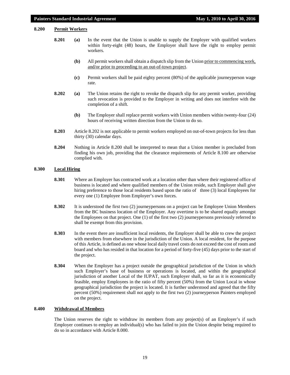# **8.200 Permit Workers**

- **8.201 (a)** In the event that the Union is unable to supply the Employer with qualified workers within forty-eight (48) hours, the Employer shall have the right to employ permit workers.
	- **(b)** All permit workers shall obtain a dispatch slip from the Union prior to commencing work, and/or prior to proceeding to an out-of-town project.
	- **(c)** Permit workers shall be paid eighty percent (80%) of the applicable journeyperson wage rate.
- **8.202 (a)** The Union retains the right to revoke the dispatch slip for any permit worker, providing such revocation is provided to the Employer in writing and does not interfere with the completion of a shift.
	- **(b)** The Employer shall replace permit workers with Union members within twenty-four (24) hours of receiving written direction from the Union to do so.
- **8.203** Article 8.202 is not applicable to permit workers employed on out-of-town projects for less than thirty (30) calendar days.
- **8.204** Nothing in Article 8.200 shall be interpreted to mean that a Union member is precluded from finding his own job, providing that the clearance requirements of Article 8.100 are otherwise complied with.

# **8.300 Local Hiring**

- **8.301** Where an Employer has contracted work at a location other than where their registered office of business is located and where qualified members of the Union reside, such Employer shall give hiring preference to those local residents based upon the ratio of three (3) local Employees for every one (1) Employee from Employer's own forces.
- **8.302** It is understood the first two (2) journeypersons on a project can be Employee Union Members from the BC business location of the Employer. Any overtime is to be shared equally amongst the Employees on that project. One (1) of the first two (2) journeypersons previously referred to shall be exempt from this provision.
- **8.303** In the event there are insufficient local residents, the Employer shall be able to crew the project with members from elsewhere in the jurisdiction of the Union. A local resident, for the purpose of this Article, is defined as one whose local daily travel costs do not exceed the cost of room and board and who has resided in that location for a period of forty-five (45) days prior to the start of the project.
- **8.304** When the Employer has a project outside the geographical jurisdiction of the Union in which such Employer's base of business or operations is located, and within the geographical jurisdiction of another Local of the IUPAT, such Employer shall, so far as it is economically feasible, employ Employees in the ratio of fifty percent (50%) from the Union Local in whose geographical jurisdiction the project is located. It is further understood and agreed that the fifty percent (50%) requirement shall not apply to the first two (2) journeyperson Painters employed on the project.

# **8.400 Withdrawal of Members**

The Union reserves the right to withdraw its members from any project(s) of an Employer's if such Employer continues to employ an individual(s) who has failed to join the Union despite being required to do so in accordance with Article 8.000.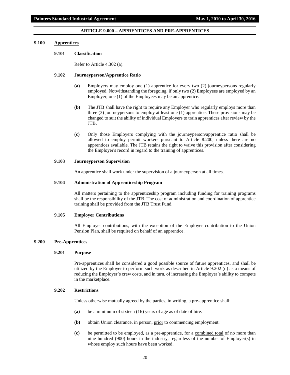# **ARTICLE 9.000 – APPRENTICES AND PRE-APPRENTICES**

#### <span id="page-21-0"></span>**9.100 Apprentices**

#### **9.101 Classification**

Refer to Article 4.302 (a).

# **9.102 Journeyperson/Apprentice Ratio**

- **(a)** Employers may employ one (1) apprentice for every two (2) journeypersons regularly employed. Notwithstanding the foregoing, if only two (2) Employees are employed by an Employer, one (1) of the Employees may be an apprentice.
- **(b)** The JTB shall have the right to require any Employer who regularly employs more than three (3) journeypersons to employ at least one (1) apprentice. These provisions may be changed to suit the ability of individual Employers to train apprentices after review by the JTB.
- **(c)** Only those Employers complying with the journeyperson/apprentice ratio shall be allowed to employ permit workers pursuant to Article 8.200, unless there are no apprentices available. The JTB retains the right to waive this provision after considering the Employer's record in regard to the training of apprentices.

#### **9.103 Journeyperson Supervision**

An apprentice shall work under the supervision of a journeyperson at all times.

# **9.104 Administration of Apprenticeship Program**

All matters pertaining to the apprenticeship program including funding for training programs shall be the responsibility of the JTB. The cost of administration and coordination of apprentice training shall be provided from the JTB Trust Fund.

#### **9.105 Employer Contributions**

All Employer contributions, with the exception of the Employer contribution to the Union Pension Plan, shall be required on behalf of an apprentice.

# **9.200 Pre-Apprentices**

# **9.201 Purpose**

Pre-apprentices shall be considered a good possible source of future apprentices, and shall be utilized by the Employer to perform such work as described in Article 9.202 (d) as a means of reducing the Employer's crew costs, and in turn, of increasing the Employer's ability to compete in the marketplace.

# **9.202 Restrictions**

Unless otherwise mutually agreed by the parties, in writing, a pre-apprentice shall:

- **(a)** be a minimum of sixteen (16) years of age as of date of hire.
- **(b)** obtain Union clearance, in person, prior to commencing employment.
- **(c)** be permitted to be employed, as a pre-apprentice, for a combined total of no more than nine hundred (900) hours in the industry, regardless of the number of Employer(s) in whose employ such hours have been worked.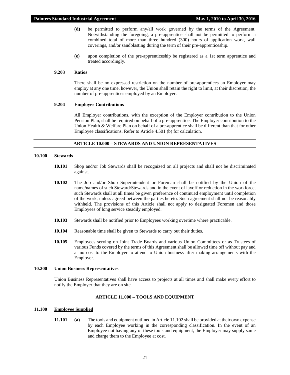- **(d)** be permitted to perform any/all work governed by the terms of the Agreement. Notwithstanding the foregoing, a pre-apprentice shall not be permitted to perform a combined total of more than three hundred (300) hours of application work, wall coverings, and/or sandblasting during the term of their pre-apprenticeship.
- **(e)** upon completion of the pre-apprenticeship be registered as a 1st term apprentice and treated accordingly.

#### **9.203 Ratios**

There shall be no expressed restriction on the number of pre-apprentices an Employer may employ at any one time, however, the Union shall retain the right to limit, at their discretion, the number of pre-apprentices employed by an Employer.

# **9.204 Employer Contributions**

All Employer contributions, with the exception of the Employer contribution to the Union Pension Plan, shall be required on behalf of a pre-apprentice. The Employer contribution to the Union Health & Welfare Plan on behalf of a pre-apprentice shall be different than that for other Employee classifications. Refer to Article 4.501 (b) for calculation.

#### **ARTICLE 10.000 – STEWARDS AND UNION REPRESENTATIVES**

#### <span id="page-22-0"></span>**10.100 Stewards**

- **10.101** Shop and/or Job Stewards shall be recognized on all projects and shall not be discriminated against.
- **10.102** The Job and/or Shop Superintendent or Foreman shall be notified by the Union of the name/names of such Steward/Stewards and in the event of layoff or reduction in the workforce, such Stewards shall at all times be given preference of continued employment until completion of the work, unless agreed between the parties hereto. Such agreement shall not be reasonably withheld. The provisions of this Article shall not apply to designated Foremen and those Employees of long service steadily employed.
- **10.103** Stewards shall be notified prior to Employees working overtime where practicable.
- **10.104** Reasonable time shall be given to Stewards to carry out their duties.
- **10.105** Employees serving on Joint Trade Boards and various Union Committees or as Trustees of various Funds covered by the terms of this Agreement shall be allowed time off without pay and at no cost to the Employer to attend to Union business after making arrangements with the Employer.

#### **10.200 Union Business Representatives**

Union Business Representatives shall have access to projects at all times and shall make every effort to notify the Employer that they are on site.

# **ARTICLE 11.000 – TOOLS AND EQUIPMENT**

# <span id="page-22-1"></span>**11.100 Employee Supplied**

**11.101 (a)** The tools and equipment outlined in Article 11.102 shall be provided at their own expense by each Employee working in the corresponding classification. In the event of an Employee not having any of these tools and equipment, the Employer may supply same and charge them to the Employee at cost.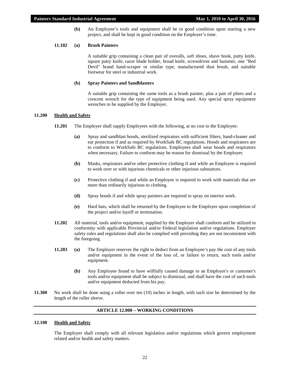**(b)** An Employee's tools and equipment shall be in good condition upon starting a new project, and shall be kept in good condition on the Employer's time.

# **11.102 (a) Brush Painters**

A suitable grip containing a clean pair of overalls, soft shoes, shave hook, putty knife, square putty knife, razor blade holder, broad knife, screwdriver and hammer, one "Red Devil" brand hand-scraper or similar type, manufactured dust brush, and suitable footwear for steel or industrial work.

#### **(b) Spray Painters and Sandblasters**

A suitable grip containing the same tools as a brush painter, plus a pair of pliers and a crescent wrench for the type of equipment being used. Any special spray equipment wrenches to be supplied by the Employer.

# **11.200 Health and Safety**

- **11.201** The Employer shall supply Employees with the following, at no cost to the Employee:
	- **(a)** Spray and sandblast hoods, sterilized respirators with sufficient filters, hand-cleaner and ear protection if and as required by WorkSafe BC regulations. Hoods and respirators are to conform to WorkSafe BC regulations. Employees shall wear hoods and respirators when necessary. Failure to conform may be reason for dismissal by the Employer.
	- **(b)** Masks, respirators and/or other protective clothing if and while an Employee is required to work over or with injurious chemicals or other injurious substances.
	- **(c)** Protective clothing if and while an Employee is required to work with materials that are more than ordinarily injurious to clothing.
	- **(d)** Spray hoods if and while spray painters are required to spray on interior work.
	- **(e)** Hard hats, which shall be returned by the Employee to the Employer upon completion of the project and/or layoff or termination.
- **11.202** All material, tools and/or equipment, supplied by the Employer shall conform and be utilized in conformity with applicable Provincial and/or Federal legislation and/or regulations. Employer safety rules and regulations shall also be complied with providing they are not inconsistent with the foregoing.
- **11.203 (a)** The Employer reserves the right to deduct from an Employee's pay the cost of any tools and/or equipment in the event of the loss of, or failure to return, such tools and/or equipment.
	- **(b)** Any Employee found to have willfully caused damage to an Employer's or customer's tools and/or equipment shall be subject to dismissal, and shall have the cost of such tools and/or equipment deducted from his pay.
- **11.300** No work shall be done using a roller over ten (10) inches in length, with such size be determined by the length of the roller sleeve.

# **ARTICLE 12.000 – WORKING CONDITIONS**

#### <span id="page-23-0"></span>**12.100 Health and Safety**

The Employer shall comply with all relevant legislation and/or regulations which govern employment related and/or health and safety matters.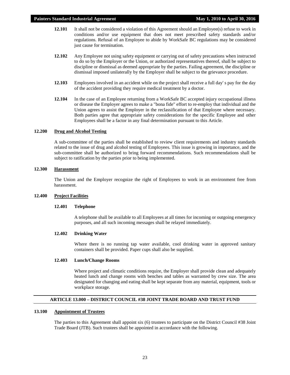- **12.101** It shall not be considered a violation of this Agreement should an Employee(s) refuse to work in conditions and/or use equipment that does not meet prescribed safety standards and/or regulations. Refusal of an Employee to abide by WorkSafe BC regulations may be considered just cause for termination.
- **12.102** Any Employee not using safety equipment or carrying out of safety precautions when instructed to do so by the Employer or the Union, or authorized representatives thereof, shall be subject to discipline or dismissal as deemed appropriate by the parties. Failing agreement, the discipline or dismissal imposed unilaterally by the Employer shall be subject to the grievance procedure.
- **12.103** Employees involved in an accident while on the project shall receive a full day' s pay for the day of the accident providing they require medical treatment by a doctor.
- **12.104** In the case of an Employee returning from a WorkSafe BC accepted injury occupational illness or disease the Employer agrees to make a "bona fide" effort to re-employ that individual and the Union agrees to assist the Employer in the reclassification of that Employee where necessary. Both parties agree that appropriate safety considerations for the specific Employee and other Employees shall be a factor in any final determination pursuant to this Article.

#### **12.200 Drug and Alcohol Testing**

A sub-committee of the parties shall be established to review client requirements and industry standards related to the issue of drug and alcohol testing of Employees. This issue is growing in importance, and the sub-committee shall be authorized to bring forward recommendations. Such recommendations shall be subject to ratification by the parties prior to being implemented.

# **12.300 Harassment**

The Union and the Employer recognize the right of Employees to work in an environment free from harassment.

#### **12.400 Project Facilities**

#### **12.401 Telephone**

A telephone shall be available to all Employees at all times for incoming or outgoing emergency purposes, and all such incoming messages shall be relayed immediately.

# **12.402 Drinking Water**

Where there is no running tap water available, cool drinking water in approved sanitary containers shall be provided. Paper cups shall also be supplied.

# **12.403 Lunch/Change Rooms**

Where project and climatic conditions require, the Employer shall provide clean and adequately heated lunch and change rooms with benches and tables as warranted by crew size. The area designated for changing and eating shall be kept separate from any material, equipment, tools or workplace storage.

# **ARTICLE 13.000 – DISTRICT COUNCIL #38 JOINT TRADE BOARD AND TRUST FUND**

#### <span id="page-24-0"></span>**13.100 Appointment of Trustees**

The parties to this Agreement shall appoint six (6) trustees to participate on the District Council #38 Joint Trade Board (JTB). Such trustees shall be appointed in accordance with the following.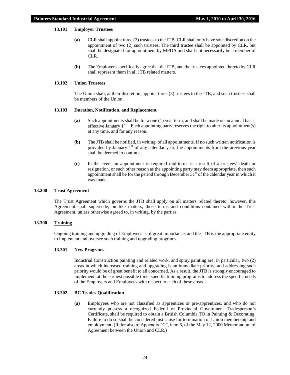# **13.101 Employer Trustees**

- **(a)** CLR shall appoint three (3) trustees to the JTB. CLR shall only have sole discretion on the appointment of two (2) such trustees. The third trustee shall be appointed by CLR, but shall be designated for appointment by MPDA and shall not necessarily be a member of CLR.
- **(b)** The Employers specifically agree that the JTB, and the trustees appointed thereto by CLR shall represent them in all JTB related matters.

# **13.102 Union Trustees**

The Union shall, at their discretion, appoint three (3) trustees to the JTB, and such trustees shall be members of the Union.

#### **13.103 Duration, Notification, and Replacement**

- **(a)** Such appointments shall be for a one (1) year term, and shall be made on an annual basis, effective January  $1<sup>st</sup>$ . Each appointing party reserves the right to alter its appointment(s) at any time, and for any reason.
- **(b)** The JTB shall be notified, in writing, of all appointments. If no such written notification is provided by January  $1<sup>st</sup>$  of any calendar year, the appointments from the previous year shall be deemed to continue.
- **(c)** In the event an appointment is required mid-term as a result of a trustees' death or resignation, or such other reason as the appointing party may deem appropriate, then such appointment shall be for the period through December  $31<sup>st</sup>$  of the calendar year in which it was made.

# **13.200 Trust Agreement**

The Trust Agreement which governs the JTB shall apply on all matters related thereto, however, this Agreement shall supercede, on like matters, those terms and conditions contained within the Trust Agreement, unless otherwise agreed to, in writing, by the parties.

# **13.300 Training**

Ongoing training and upgrading of Employees is of great importance, and the JTB is the appropriate entity to implement and oversee such training and upgrading programs.

#### **13.301 New Programs**

Industrial Construction painting and related work, and spray painting are, in particular, two (2) areas in which increased training and upgrading is an immediate priority, and addressing such priority would be of great benefit to all concerned. As a result, the JTB is strongly encouraged to implement, at the earliest possible time, specific training programs to address the specific needs of the Employers and Employees with respect to each of these areas.

#### **13.302 BC Trades Qualification**

**(a)** Employees who are not classified as apprentices or pre-apprentices, and who do not currently possess a recognized Federal or Provincial Government Tradesperson's Certificate, shall be required to obtain a British Columbia TQ in Painting & Decorating. Failure to do so shall be considered just cause for termination of Union membership and employment. (Refer also to Appendix "C", item 6, of the May 12, 2000 Memorandum of Agreement between the Union and CLR.)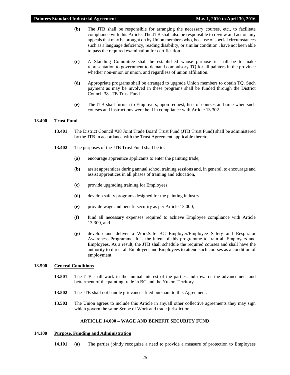- **(b)** The JTB shall be responsible for arranging the necessary courses, etc., to facilitate compliance with this Article. The JTB shall also be responsible to review and act on any appeals that may be brought on by Union members who, because of special circumstances such as a language deficiency, reading disability, or similar condition., have not been able to pass the required examination for certification.
- **(c)** A Standing Committee shall be established whose purpose it shall be to make representation to government to demand compulsory TQ for all painters in the province whether non-union or union, and regardless of union affiliation.
- **(d)** Appropriate programs shall be arranged to upgrade Union members to obtain TQ. Such payment as may be involved in these programs shall be funded through the District Council 38 JTB Trust Fund.
- **(e)** The JTB shall furnish to Employers, upon request, lists of courses and time when such courses and instructions were held in compliance with Article 13.302.

# **13.400 Trust Fund**

- **13.401** The District Council #38 Joint Trade Board Trust Fund (JTB Trust Fund) shall be administered by the JTB in accordance with the Trust Agreement applicable thereto.
- **13.402** The purposes of the JTB Trust Fund shall be to:
	- **(a)** encourage apprentice applicants to enter the painting trade,
	- **(b)** assist apprentices during annual school training sessions and, in general, to encourage and assist apprentices in all phases of training and education,
	- **(c)** provide upgrading training for Employees,
	- **(d)** develop safety programs designed for the painting industry,
	- **(e)** provide wage and benefit security as per Article 13.000,
	- **(f)** fund all necessary expenses required to achieve Employee compliance with Article 13.300, and
	- **(g)** develop and deliver a WorkSafe BC Employer/Employee Safety and Respirator Awareness Programme. It is the intent of this programme to train all Employers and Employees. As a result, the JTB shall schedule the required courses and shall have the authority to direct all Employers and Employees to attend such courses as a condition of employment.

#### **13.500 General Conditions**

- **13.501** The JTB shall work in the mutual interest of the parties and towards the advancement and betterment of the painting trade in BC and the Yukon Territory.
- **13.502** The JTB shall not handle grievances filed pursuant to this Agreement.
- **13.503** The Union agrees to include this Article in any/all other collective agreements they may sign which govern the same Scope of Work and trade jurisdiction.

#### **ARTICLE 14.000 – WAGE AND BENEFIT SECURITY FUND**

# <span id="page-26-0"></span>**14.100 Purpose, Funding and Administration**

**14.101 (a)** The parties jointly recognize a need to provide a measure of protection to Employees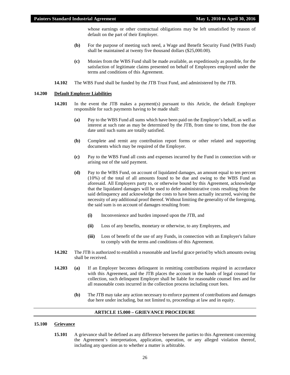whose earnings or other contractual obligations may be left unsatisfied by reason of default on the part of their Employer.

- **(b)** For the purpose of meeting such need, a Wage and Benefit Security Fund (WBS Fund) shall be maintained at twenty five thousand dollars (\$25,000.00).
- **(c)** Monies from the WBS Fund shall be made available, as expeditiously as possible, for the satisfaction of legitimate claims presented on behalf of Employees employed under the terms and conditions of this Agreement.
- **14.102** The WBS Fund shall be funded by the JTB Trust Fund, and administered by the JTB.

#### **14.200 Default Employer Liabilities**

- 14.201 In the event the JTB makes a payment(s) pursuant to this Article, the default Employer responsible for such payments having to be made shall:
	- **(a)** Pay to the WBS Fund all sums which have been paid on the Employer's behalf, as well as interest at such rate as may be determined by the JTB, from time to time, from the due date until such sums are totally satisfied.
	- **(b)** Complete and remit any contribution report forms or other related and supporting documents which may be required of the Employer.
	- **(c)** Pay to the WBS Fund all costs and expenses incurred by the Fund in connection with or arising out of the said payment.
	- **(d)** Pay to the WBS Fund, on account of liquidated damages, an amount equal to ten percent (10%) of the total of all amounts found to be due and owing to the WBS Fund as aforesaid. All Employers party to, or otherwise bound by this Agreement, acknowledge that the liquidated damages will be used to defer administrative costs resulting from the said delinquency and acknowledge the costs to have been actually incurred, waiving the necessity of any additional proof thereof. Without limiting the generality of the foregoing, the said sum is on account of damages resulting from:
		- **(i)** Inconvenience and burden imposed upon the JTB, and
		- **(ii)** Loss of any benefits, monetary or otherwise, to any Employees, and
		- **(iii)** Loss of benefit of the use of any Funds, in connection with an Employer's failure to comply with the terms and conditions of this Agreement.
- **14.202** The JTB is authorized to establish a reasonable and lawful grace period by which amounts owing shall be received.
- **14.203 (a)** If an Employer becomes delinquent in remitting contributions required in accordance with this Agreement, and the JTB places the account in the hands of legal counsel for collection, such delinquent Employer shall be liable for reasonable counsel fees and for all reasonable costs incurred in the collection process including court fees.
	- **(b)** The JTB may take any action necessary to enforce payment of contributions and damages due here under including, but not limited to, proceedings at law and in equity.

#### **ARTICLE 15.000 – GRIEVANCE PROCEDURE**

#### <span id="page-27-0"></span>**15.100 Grievance**

15.101 A grievance shall be defined as any difference between the parties to this Agreement concerning the Agreement's interpretation, application, operation, or any alleged violation thereof, including any question as to whether a matter is arbitrable.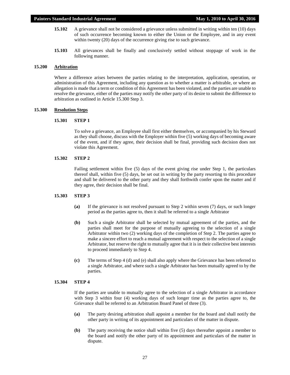- **15.102** A grievance shall not be considered a grievance unless submitted in writing within ten (10) days of such occurrence becoming known to either the Union or the Employee, and in any event within twenty (20) days of the occurrence giving rise to such grievance.
- **15.103** All grievances shall be finally and conclusively settled without stoppage of work in the following manner.

#### **15.200 Arbitration**

Where a difference arises between the parties relating to the interpretation, application, operation, or administration of this Agreement, including any question as to whether a matter is arbitrable, or where an allegation is made that a term or condition of this Agreement has been violated, and the parties are unable to resolve the grievance, either of the parties may notify the other party of its desire to submit the difference to arbitration as outlined in Article 15.300 Step 3.

#### **15.300 Resolution Steps**

# **15.301 STEP 1**

To solve a grievance, an Employee shall first either themselves, or accompanied by his Steward as they shall choose, discuss with the Employer within five (5) working days of becoming aware of the event, and if they agree, their decision shall be final, providing such decision does not violate this Agreement.

#### **15.302 STEP 2**

Failing settlement within five (5) days of the event giving rise under Step 1, the particulars thereof shall, within five (5) days, be set out in writing by the party resorting to this procedure and shall be delivered to the other party and they shall forthwith confer upon the matter and if they agree, their decision shall be final.

#### **15.303 STEP 3**

- **(a)** If the grievance is not resolved pursuant to Step 2 within seven (7) days, or such longer period as the parties agree to, then it shall be referred to a single Arbitrator
- **(b)** Such a single Arbitrator shall be selected by mutual agreement of the parties, and the parties shall meet for the purpose of mutually agreeing to the selection of a single Arbitrator within two (2) working days of the completion of Step 2. The parties agree to make a sincere effort to reach a mutual agreement with respect to the selection of a single Arbitrator, but reserve the right to mutually agree that it is in their collective best interests to proceed immediately to Step 4.
- **(c)** The terms of Step 4 (d) and (e) shall also apply where the Grievance has been referred to a single Arbitrator, and where such a single Arbitrator has been mutually agreed to by the parties.

# **15.304 STEP 4**

If the parties are unable to mutually agree to the selection of a single Arbitrator in accordance with Step 3 within four (4) working days of such longer time as the parties agree to, the Grievance shall be referred to an Arbitration Board Panel of three (3).

- **(a)** The party desiring arbitration shall appoint a member for the board and shall notify the other party in writing of its appointment and particulars of the matter in dispute.
- **(b)** The party receiving the notice shall within five (5) days thereafter appoint a member to the board and notify the other party of its appointment and particulars of the matter in dispute.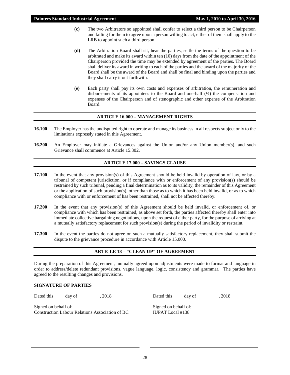- **(c)** The two Arbitrators so appointed shall confer to select a third person to be Chairperson and failing for them to agree upon a person willing to act, either of them shall apply to the LRB to appoint such a third person.
- **(d)** The Arbitration Board shall sit, hear the parties, settle the terms of the question to be arbitrated and make its award within ten (10) days from the date of the appointment of the Chairperson provided the time may be extended by agreement of the parties. The Board shall deliver its award in writing to each of the parties and the award of the majority of the Board shall be the award of the Board and shall be final and binding upon the parties and they shall carry it out forthwith.
- **(e)** Each party shall pay its own costs and expenses of arbitration, the remuneration and disbursements of its appointees to the Board and one-half  $(\frac{1}{2})$  the compensation and expenses of the Chairperson and of stenographic and other expense of the Arbitration Board.

# **ARTICLE 16.000 – MANAGEMENT RIGHTS**

- <span id="page-29-0"></span>**16.100** The Employer has the undisputed right to operate and manage its business in all respects subject only to the limitations expressly stated in this Agreement.
- **16.200** An Employer may initiate a Grievances against the Union and/or any Union member(s), and such Grievance shall commence at Article 15.302.

# **ARTICLE 17.000 – SAVINGS CLAUSE**

- <span id="page-29-1"></span>**17.100** In the event that any provision(s) of this Agreement should be held invalid by operation of law, or by a tribunal of competent jurisdiction, or if compliance with or enforcement of any provision(s) should be restrained by such tribunal, pending a final determination as to its validity, the remainder of this Agreement or the application of such provision(s), other than those as to which it has been held invalid, or as to which compliance with or enforcement of has been restrained, shall not be affected thereby.
- **17.200** In the event that any provision(s) of this Agreement should be held invalid, or enforcement of, or compliance with which has been restrained, as above set forth, the parties affected thereby shall enter into immediate collective bargaining negotiations, upon the request of either party, for the purpose of arriving at a mutually satisfactory replacement for such provision(s) during the period of invalidity or restraint.
- **17.300** In the event the parties do not agree on such a mutually satisfactory replacement, they shall submit the dispute to the grievance procedure in accordance with Article 15.000.

# **ARTICLE 18 – "CLEAN UP" OF AGREEMENT**

<span id="page-29-2"></span>During the preparation of this Agreement, mutually agreed upon adjustments were made to format and language in order to address/delete redundant provisions, vague language, logic, consistency and grammar. The parties have agreed to the resulting changes and provisions.

# <span id="page-29-3"></span>**SIGNATURE OF PARTIES**

Dated this \_\_\_\_ day of \_\_\_\_\_\_\_\_, 2018 Dated this \_\_\_\_ day of \_\_\_\_\_\_\_\_, 2018

Signed on behalf of: Construction Labour Relations Association of BC

Signed on behalf of: IUPAT Local #138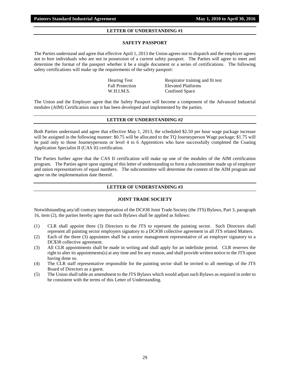# **LETTER OF UNDERSTANDING #1**

#### **SAFETY PASSPORT**

<span id="page-30-0"></span>The Parties understand and agree that effective April 1, 2013 the Union agrees not to dispatch and the employer agrees not to hire individuals who are not in possession of a current safety passport. The Parties will agree to meet and determine the format of the passport whether it be a single document or a series of certifications. The following safety certifications will make up the requirements of the safety passport:

> Hearing Test Respirator training and fit test Fall Protection Elevated Platforms W.H.I.M.S. Confined Space

The Union and the Employer agree that the Safety Passport will become a component of the Advanced Industrial modules (AIM) Certification once it has been developed and implemented by the parties.

# **LETTER OF UNDERSTANDING #2**

<span id="page-30-1"></span>Both Parties understand and agree that effective May 1, 2013, the scheduled \$2.50 per hour wage package increase will be assigned in the following manner: \$0.75 will be allocated to the TO Journeyperson Wage package; \$1.75 will be paid only to those Journeypersons or level 4 to 6 Apprentices who have successfully completed the Coating Application Specialist II (CAS II) certification.

The Parties further agree that the CAS II certification will make up one of the modules of the AIM certification program. The Parties agree upon signing of this letter of understanding to form a subcommittee made up of employer and union representatives of equal numbers. The subcommittee will determine the content of the AIM program and agree on the implementation date thereof.

# **LETTER OF UNDERSTANDING #3**

#### **JOINT TRADE SOCIETY**

<span id="page-30-2"></span>Notwithstanding any/all contrary interpretation of the DC#38 Joint Trade Society (the JTS) Bylaws, Part 3, paragraph 16, item (2), the parties hereby agree that such Bylaws shall be applied as follows:

- (1) CLR shall appoint three (3) Directors to the JTS to represent the painting sector. Such Directors shall represent all painting sector employers signatory to a DC#38 collective agreement in all JTS related Matters.
- (2) Each of the three (3) appointees shall be a senior management representative of an employer signatory to a DC\$38 collective agreement.
- (3) All CLR appointments shall be made in writing and shall apply for an indefinite period. CLR reserves the right to alter its appointments(s) at any time and for any reason, and shall provide written notice to the JTS upon having done so.
- (4) The CLR staff representative responsible for the painting sector shall be invited to all meetings of the JTS Board of Directors as a guest.
- (5) The Union shall table an amendment to the JTS Bylaws which would adjust such Bylaws as required in order to be consistent with the terms of this Letter of Understanding.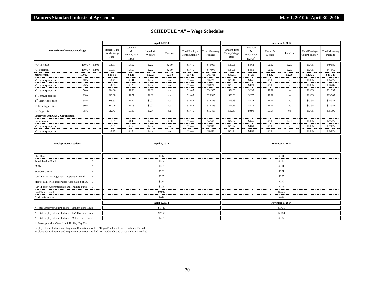<span id="page-31-0"></span>

| <b>Breakdown of Monetary Package</b>                 |                     | April 1, 2014                               |                                                       |                     |               |                                              |                                  |                                             | <b>November 1, 2014</b>                               |                     |                         |                                              |                                  |  |
|------------------------------------------------------|---------------------|---------------------------------------------|-------------------------------------------------------|---------------------|---------------|----------------------------------------------|----------------------------------|---------------------------------------------|-------------------------------------------------------|---------------------|-------------------------|----------------------------------------------|----------------------------------|--|
|                                                      |                     | <b>Straight Time</b><br>Hourly Wage<br>Rate | Vacation<br>&<br>Holiday Pay<br>$(12\%)$ <sup>1</sup> | Health &<br>Welfare | Pension       | Total Employer<br>Contributions <sup>3</sup> | <b>Total Monetary</b><br>Package | <b>Straight Time</b><br>Hourly Wage<br>Rate | Vacation<br>&<br>Holiday Pay<br>$(12\%)$ <sup>1</sup> | Health &<br>Welfare | Pension                 | Total Employer<br>Contributions <sup>*</sup> | <b>Total Monetary</b><br>Package |  |
| "A" Foreman                                          | $100\% +$<br>\$3.00 | \$38.51                                     | \$4.62                                                | \$2.02              | \$2.50        | \$1.445                                      | \$49.095                         | \$38.51                                     | \$4.62                                                | \$2.02              | \$2.50                  | \$1.435                                      | \$49.085                         |  |
| "B" Foreman                                          | $100\% +$<br>\$2.00 | \$37.51                                     | \$4.50                                                | \$2.02              | \$2.50        | \$1.445                                      | \$47.975                         | \$37.51                                     | \$4.50                                                | \$2.02              | \$2.50                  | \$1.435                                      | \$47.965                         |  |
| Journeyman                                           | 100%                | \$35.51                                     | \$4.26                                                | \$2.02              | \$2.50        | \$1,445                                      | \$45.735                         | \$35.51                                     | \$4.26                                                | \$2.02              | \$2.50                  | \$1.435                                      | \$45.725                         |  |
| 6 <sup>th</sup> Term Apprentice                      | 80%                 | \$28.41                                     | \$3.41                                                | \$2.02              | n/a           | \$1.445                                      | \$35.285                         | \$28.41                                     | \$3.41                                                | \$2.02              | n/a                     | \$1.435                                      | \$35.275                         |  |
| 5 <sup>th</sup> Term Apprentice                      | 75%                 | \$26.63                                     | \$3.20                                                | \$2.02              | n/a           | \$1.445                                      | \$33.295                         | \$26.63                                     | \$3.20                                                | \$2.02              | n/a                     | \$1.435                                      | \$33.285                         |  |
| 4 <sup>th</sup> Term Apprentice                      | 70%                 | \$24.86                                     | \$2.98                                                | \$2.02              | n/a           | \$1.445                                      | \$31.305                         | \$24.86                                     | \$2.98                                                | \$2.02              | n/a                     | \$1.435                                      | \$31.295                         |  |
| 3 <sup>rd</sup> Term Apprentice                      | 65%                 | \$23.08                                     | \$2.77                                                | \$2.02              | n/a           | \$1.445                                      | \$29.315                         | \$23.08                                     | \$2.77                                                | \$2.02              | n/a                     | \$1.435                                      | \$29.305                         |  |
| 2 <sup>nd</sup> Term Apprentice                      | 55%                 | \$19.53                                     | \$2.34                                                | \$2.02              | n/a           | \$1.445                                      | \$25.335                         | \$19.53                                     | \$2.34                                                | \$2.02              | n/a                     | \$1.435                                      | \$25.325                         |  |
| 1 <sup>st</sup> Term Apprentice                      | 50%                 | \$17.76                                     | \$2.13                                                | \$2.02              | n/a           | \$1.445                                      | \$23.355                         | \$17.76                                     | \$2.13                                                | \$2.02              | n/a                     | \$1.435                                      | \$23.345                         |  |
| Pre-Apprentice <sup>1</sup>                          | 35%                 | \$12.43                                     | \$0.99                                                | \$0.54              | n/a           | \$1.445                                      | \$15.405                         | \$12.43                                     | \$0.99                                                | \$0.54              | n/a                     | \$1.435                                      | \$15.395                         |  |
| <b>Employees with CAS 2 Certification</b>            |                     |                                             |                                                       |                     |               |                                              |                                  |                                             |                                                       |                     |                         |                                              |                                  |  |
| Journeyman                                           |                     | \$37.07                                     | \$4.45                                                | \$2.02              | \$2.50        | \$1.445                                      | \$47.485                         | \$37.07                                     | \$4.45                                                | \$2.02              | \$2.50                  | \$1.435                                      | \$47.475                         |  |
| 6 <sup>th</sup> Term Apprentice                      |                     | \$29.97                                     | \$3.60                                                | \$2.02              | n/a           | \$1.445                                      | \$37.035                         | \$29.97                                     | \$3.60                                                | \$2.02              | n/a                     | \$1.435                                      | \$37.025                         |  |
| 5 <sup>th</sup> Term Apprentice                      |                     | \$28.19                                     | \$3.38                                                | \$2.02              | n/a           | \$1.445                                      | \$35.035                         | \$28.19                                     | \$3.38                                                | \$2.02              | n/a                     | \$1.435                                      | \$35.025                         |  |
| <b>Employer Contributions</b>                        |                     | April 1, 2014                               |                                                       |                     |               |                                              |                                  |                                             |                                                       |                     | <b>November 1, 2014</b> |                                              |                                  |  |
| <b>CLR</b> Dues                                      | Е                   |                                             |                                                       |                     | \$0.12        |                                              |                                  | \$0.11                                      |                                                       |                     |                         |                                              |                                  |  |
| Rehabilitation Fund                                  | $\mathbf E$         |                                             |                                                       |                     | \$0.02        |                                              |                                  |                                             |                                                       |                     | \$0.02                  |                                              |                                  |  |
| <b>JAPlan</b>                                        | Е                   |                                             |                                                       |                     | \$0.01        |                                              |                                  |                                             |                                                       |                     | \$0.01                  |                                              |                                  |  |
| <b>BCBCBTU Fund</b>                                  | $\mathbf E$         |                                             |                                                       |                     | \$0.01        |                                              |                                  |                                             |                                                       |                     | \$0.01                  |                                              |                                  |  |
| <b>IUPAT Labor Management Cooperation Fund</b>       | Е                   |                                             |                                                       |                     | \$0.05        |                                              |                                  |                                             |                                                       |                     | \$0.05                  |                                              |                                  |  |
| Master Painters & Decorators Association of BC       | E                   |                                             |                                                       |                     | \$0.10        |                                              |                                  |                                             |                                                       |                     | \$0.10                  |                                              |                                  |  |
| IUPAT Joint Apprenticeship and Training Fund         | E                   |                                             |                                                       |                     | \$0.05        |                                              |                                  |                                             |                                                       |                     | \$0.05                  |                                              |                                  |  |
| Joint Trade Board                                    | Е                   |                                             |                                                       |                     | \$0.935       |                                              |                                  |                                             |                                                       |                     | \$0.935                 |                                              |                                  |  |
| <b>AIM</b> Certification                             | $\mathbf E$         |                                             |                                                       |                     | \$0.15        |                                              |                                  |                                             |                                                       |                     | \$0.15                  |                                              |                                  |  |
|                                                      |                     |                                             |                                                       |                     | April 1, 2014 |                                              |                                  |                                             |                                                       |                     | November 1, 2014        |                                              |                                  |  |
| * Total Employer Contributions - Straight Time Hours |                     |                                             |                                                       |                     | \$1.445       |                                              |                                  |                                             |                                                       |                     | \$1.435                 |                                              |                                  |  |
| * Total Employer Contributions - 1.5X Overtime Hours |                     |                                             |                                                       |                     | \$2.168       |                                              |                                  |                                             |                                                       |                     | \$2.153                 |                                              |                                  |  |
| * Total Employer Contributions - 2X Overtime Hours   |                     |                                             |                                                       |                     | \$2.89        |                                              |                                  |                                             |                                                       |                     | \$2.87                  |                                              |                                  |  |

1. Pre-Apprentice - Vacation & Holiday Pay 8%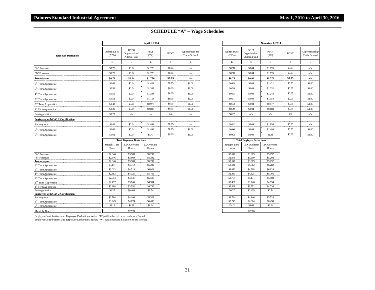|                                                                    |                               |                                      | April 1, 2014        |             |                                       |                                  | <b>November 1, 2014</b>              |                      |             |                        |
|--------------------------------------------------------------------|-------------------------------|--------------------------------------|----------------------|-------------|---------------------------------------|----------------------------------|--------------------------------------|----------------------|-------------|------------------------|
| <b>Employee Deductions</b>                                         | Admin Dues<br>$(2.2\%)$       | DC 38<br>Organization/<br>Admin Fund | PIAF<br>(5%)         | <b>BCYT</b> | Apprenticeship<br><b>Trade School</b> | Admin Dues<br>(2.2%)             | DC 38<br>Organization/<br>Admin Fund | PIAF<br>(5% )        | <b>BCYT</b> | Apprentic<br>Trade Scl |
|                                                                    | $\mathbf E$                   | $\mathbf E$                          | $\mathbf E$          | $\mathbf E$ | $\mathbf E$                           | E                                | $\mathbf E$                          | $\mathbf E$          | $\mathbf E$ | $\mathbf E$            |
| A" Foreman                                                         | \$0.78                        | \$0.04                               | \$1.776              | \$0.05      | n/a                                   | \$0.78                           | \$0.04                               | \$1.776              | \$0.05      | n/a                    |
| 'B" Foreman                                                        | \$0.78                        | \$0.04                               | \$1.776              | \$0.05      | n/a                                   | \$0.78                           | \$0.04                               | \$1.776              | \$0.05      | n/a                    |
| Journeyman                                                         | \$0.78                        | \$0.04                               | \$1.776              | \$0.05      | n/a                                   | \$0.78                           | \$0.04                               | \$1.776              | \$0.05      | n/a                    |
| $6th$ Term Apprentice                                              | \$0.63                        | \$0.04                               | \$1.421              | \$0.05      | \$1.00                                | \$0.63                           | \$0.04                               | \$1.421              | \$0.05      | \$1.00                 |
| 5 <sup>th</sup> Term Apprentice                                    | \$0.59                        | \$0.04                               | \$1.332              | \$0.05      | \$1.00                                | \$0.59                           | \$0.04                               | \$1.332              | \$0.05      | \$1.00                 |
| 4 <sup>th</sup> Term Apprentice                                    | \$0.55                        | \$0.04                               | \$1.243              | \$0.05      | \$1.00                                | \$0.55                           | \$0.04                               | \$1.243              | \$0.05      | \$1.00                 |
| 3 <sup>rd</sup> Term Apprentice                                    | \$0.51                        | \$0.04                               | \$1.154              | \$0.05      | \$1.00                                | \$0.51                           | \$0.04                               | \$1.154              | \$0.05      | \$1.00                 |
| 2 <sup>nd</sup> Term Apprentice                                    | \$0.43                        | \$0.04                               | \$0.977              | \$0.05      | \$1.00                                | \$0.43                           | \$0.04                               | \$0.977              | \$0.05      | \$1.00                 |
| 1 <sup>st</sup> Term Apprentice                                    | \$0.39                        | \$0.04                               | \$0.888              | \$0.05      | \$1.00                                | \$0.39                           | \$0.04                               | \$0.888              | \$0.05      | \$1.00                 |
| Pre-Apprentice                                                     | \$0.27                        | n/a                                  | n/a                  | n/a         | n/a                                   | \$0.27                           | n/a                                  | n/a                  | n/a         | n/a                    |
| <b>Employees with CAS 2 Certification</b>                          |                               |                                      |                      |             |                                       |                                  |                                      |                      |             |                        |
| Journeyman                                                         | \$0.82                        | \$0.04                               | \$1.854              | \$0.05      | n/a                                   | \$0.82                           | \$0.04                               | \$1.854              | \$0.05      | n/a                    |
| 6 <sup>th</sup> Term Apprentice                                    | \$0.66                        | \$0.04                               | \$1.499              | \$0.05      | \$1.00                                | \$0.66                           | \$0.04                               | \$1.499              | \$0.05      | \$1.00                 |
| 5 <sup>th</sup> Term Apprentice                                    | \$0.62                        | \$0.04                               | \$1.41               | \$0.05      | \$1.00                                | \$0.62                           | \$0.04                               | \$1.41               | \$0.05      | \$1.00                 |
|                                                                    |                               | <b>Total Employee Deductions</b>     |                      |             |                                       | <b>Total Employee Deductions</b> |                                      |                      |             |                        |
|                                                                    | <b>Straight Time</b><br>Hours | 1.5X Overtime<br>Hours               | 2X Overtime<br>Hours |             |                                       | <b>Straight Time</b><br>Hours    | 1.5X Overtime<br>Hours               | 2X Overtime<br>Hours |             |                        |
| 'A" Foreman                                                        | \$2.646                       | \$3.969                              | \$5.292              |             |                                       | \$2.646                          | \$3.969                              | \$5.292              |             |                        |
| 'B" Foreman                                                        | \$2.646                       | \$3.969                              | \$5.292              |             |                                       | \$2.646                          | \$3.969                              | \$5.292              |             |                        |
| Journeyman                                                         | \$2.646<br>\$3.141            | \$3.969<br>\$4.712                   | \$5.292<br>\$6.282   |             |                                       | \$2.646<br>\$3.141               | \$3.969<br>\$4.712                   | \$5.292<br>\$6.282   |             |                        |
| 6 <sup>th</sup> Term Apprentice<br>5 <sup>th</sup> Term Apprentice | \$3.012                       | \$4.518                              | \$6.024              |             |                                       | \$3.012                          | \$4.518                              | \$6.024              |             |                        |
| 4 <sup>th</sup> Term Apprentice                                    | \$2.883                       | \$4.325                              | \$5.766              |             |                                       | \$2.883                          | \$4.325                              | \$5.766              |             |                        |
| 3 <sup>rd</sup> Term Apprentice                                    | \$2.754                       | \$4.131                              | \$5.508              |             |                                       | \$2.754                          | \$4.131                              | \$5.508              |             |                        |
| 2 <sup>nd</sup> Term Apprentice                                    | \$2.497                       | \$3.746                              | \$4,994              |             |                                       | \$2.497                          | \$3,746                              | \$4.994              |             |                        |
| I <sup>st</sup> Term Apprentice                                    | \$2.368                       | \$3.552                              | \$4.736              |             |                                       | \$2.368                          | \$3.552                              | \$4.736              |             |                        |
| Pre-Apprentice                                                     | \$0.27                        | \$0.405                              | \$0.54               |             |                                       | \$0.27                           | \$0.405                              | \$0.54               |             |                        |
| <b>Employees with CAS 2 Certification</b>                          |                               |                                      |                      |             |                                       |                                  |                                      |                      |             |                        |
| Journeyman                                                         | \$2.764                       | \$4.146                              | \$5.528              |             |                                       | \$2.764                          | \$4.146                              | \$5.528              |             |                        |
| $6th$ Term Apprentice                                              | \$3.249                       | \$4.874                              | \$6.498              |             |                                       | \$3.249                          | \$4.874                              | \$6.498              |             |                        |
| 5 <sup>th</sup> Term Apprentice                                    | \$3.12                        | \$4.68                               | \$6.24               |             |                                       | \$3.12                           | \$4.68                               | \$6.24               |             |                        |
| <b>Monthly Dues</b>                                                |                               | \$27.70                              |                      |             |                                       |                                  | \$27.70                              |                      |             |                        |

| n Dues<br>$2%$ ) | DC 38<br>Organization/<br>Admin Fund | PIAF<br>(5%)       | <b>BCYT</b> | Apprenticeship<br><b>Trade School</b> | Admin Dues<br>(2.2%) | DC 38<br>Organization/<br>Admin Fund | PIAF<br>(5%) | <b>BCYT</b> | Apprenticeship<br>Trade School |
|------------------|--------------------------------------|--------------------|-------------|---------------------------------------|----------------------|--------------------------------------|--------------|-------------|--------------------------------|
| E                | E                                    | E                  | Е           | E                                     | E                    | E                                    | E            | Е           | Е                              |
| .78              | \$0.04                               | \$1,776            | \$0.05      | n/a                                   | \$0.78               | \$0.04                               | \$1,776      | \$0.05      | n/a                            |
| .78              | \$0.04                               | \$1.776            | \$0.05      | n/a                                   | \$0.78               | \$0.04                               | \$1,776      | \$0.05      | n/a                            |
| .78              | \$0.04                               | \$1.776            | \$0.05      | n/a                                   | \$0.78               | \$0.04                               | \$1.776      | \$0.05      | n/a                            |
| 0.63             | \$0.04                               | \$1.421            | \$0.05      | \$1.00                                | \$0.63               | \$0.04                               | \$1.421      | \$0.05      | \$1.00                         |
| .59              | \$0.04                               | \$1.332            | \$0.05      | \$1.00                                | \$0.59               | \$0.04                               | \$1.332      | \$0.05      | \$1.00                         |
| .55              | \$0.04                               | \$1.243            | \$0.05      | \$1.00                                | \$0.55               | \$0.04                               | \$1.243      | \$0.05      | \$1.00                         |
| 1.51             | \$0.04                               | \$1.154            | \$0.05      | \$1.00                                | \$0.51               | \$0.04                               | \$1.154      | \$0.05      | \$1.00                         |
| .43              | \$0.04                               | S <sub>0.977</sub> | \$0.05      | \$1.00                                | \$0.43               | \$0.04                               | \$0.977      | \$0.05      | \$1.00                         |
| .39              | \$0.04                               | \$0.888            | \$0.05      | \$1.00                                | \$0.39               | \$0.04                               | \$0.888      | \$0.05      | \$1.00                         |
| 27               | n/a                                  | n/a                | n/a         | n/a                                   | \$0.27               | n/a                                  | n/a          | n/a         | n/a                            |
|                  |                                      |                    |             |                                       |                      |                                      |              |             |                                |
| .82              | \$0.04                               | \$1.854            | \$0.05      | n/a                                   | \$0.82               | \$0.04                               | \$1.854      | \$0.05      | n/a                            |
| .66              | \$0.04                               | \$1.499            | \$0.05      | \$1.00                                | \$0.66               | \$0.04                               | \$1.499      | \$0.05      | \$1.00                         |
| .62              | \$0.04                               | \$1.41             | \$0.05      | \$1.00                                | \$0.62               | \$0.04                               | \$1.41       | \$0.05      | \$1.00                         |

| <b>Straight Time</b> | 1.5X Overtime      | 2X Overtime |
|----------------------|--------------------|-------------|
| Hours                | Hours              | Hours       |
| \$2,646              | \$3,969            | \$5.292     |
| \$2,646              | \$3.969            | \$5.292     |
| \$2,646              | \$3,969            | \$5.292     |
| \$3.141              | \$4.712            | \$6.282     |
| \$3,012              | \$4.518            | \$6,024     |
| \$2.883              | \$4.325            | \$5,766     |
| \$2.754              | \$4.131            | \$5,508     |
| \$2.497              | \$3.746            | \$4,994     |
| \$2.368              | \$3.552            | \$4.736     |
| \$0.27               | S <sub>0.405</sub> | \$0.54      |
|                      |                    |             |
| \$2.764              | \$4.146            | \$5.528     |
| \$3.249              | \$4,874            | \$6.498     |
| \$3.12               | \$4.68             | \$6.24      |
|                      | \$27.70            |             |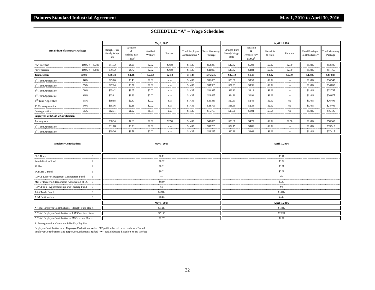| <b>Breakdown of Monetary Package</b>                 |                     | May 1, 2015                                 |                                          |                     |             |                                              |                           |                                      | April 1, 2016                                         |                     |               |                                              |                                  |  |
|------------------------------------------------------|---------------------|---------------------------------------------|------------------------------------------|---------------------|-------------|----------------------------------------------|---------------------------|--------------------------------------|-------------------------------------------------------|---------------------|---------------|----------------------------------------------|----------------------------------|--|
|                                                      |                     | <b>Straight Time</b><br>Hourly Wage<br>Rate | Vacation<br>&<br>Holiday Pay<br>$(12\%)$ | Health &<br>Welfare | Pension     | Total Employer<br>Contributions <sup>*</sup> | Total Monetary<br>Package | Straight Time<br>Hourly Wage<br>Rate | Vacation<br>&<br>Holiday Pay<br>$(12\%)$ <sup>1</sup> | Health &<br>Welfare | Pension       | Total Employer<br>Contributions <sup>3</sup> | <b>Total Monetary</b><br>Package |  |
| "A" Foreman                                          | $100\% +$<br>\$5.00 | \$41.32                                     | \$4.96                                   | \$2.02              | \$2.50      | \$1.435                                      | \$52.235                  | \$42.32                              | \$5.08                                                | \$2.02              | \$2.50        | \$1.485                                      | \$53.405                         |  |
| "B" Foreman                                          | $100\% +$<br>\$3.00 | \$39.32                                     | \$4.72                                   | \$2.02              | \$2.50      | \$1.435                                      | \$49.995                  | \$40.32                              | \$4.84                                                | \$2.02              | \$2.50        | \$1.485                                      | \$51.165                         |  |
| Journeyman                                           | 100%                | \$36.32                                     | \$4.36                                   | \$2.02              | \$2.50      | \$1.435                                      | \$46.635                  | \$37.32                              | \$4.48                                                | \$2.02              | \$2.50        | \$1.485                                      | \$47.805                         |  |
| 6 <sup>th</sup> Term Apprentice                      | 80%                 | \$29.06                                     | \$3.49                                   | \$2.02              | n/a         | \$1.435                                      | \$36.005                  | \$29.86                              | \$3.58                                                | \$2.02              | n/a           | \$1.485                                      | \$36.945                         |  |
| 5 <sup>th</sup> Term Apprentice                      | 75%                 | \$27.24                                     | \$3.27                                   | \$2.02              | n/a         | \$1.435                                      | \$33.965                  | \$27.99                              | \$3.36                                                | \$2.02              | n/a           | \$1.485                                      | \$34.855                         |  |
| 4 <sup>th</sup> Term Apprentice                      | 70%                 | \$25.42                                     | \$3.05                                   | \$2.02              | n/a         | \$1.435                                      | \$31.925                  | \$26.12                              | \$3.13                                                | \$2.02              | n/a           | \$1.485                                      | \$32.755                         |  |
| 3rd Term Apprentice                                  | 65%                 | \$23.61                                     | \$2.83                                   | \$2.02              | n/a         | \$1.435                                      | \$29.895                  | \$24.26                              | \$2.91                                                | \$2.02              | n/a           | \$1.485                                      | \$30.675                         |  |
| 2 <sup>nd</sup> Term Apprentice                      | 55%                 | \$19.98                                     | \$2.40                                   | \$2.02              | n/a         | \$1.435                                      | \$25.835                  | \$20.53                              | \$2.46                                                | \$2.02              | n/a           | \$1.485                                      | \$26.495                         |  |
| 1 <sup>st</sup> Term Apprentice                      | 50%                 | \$18.16                                     | \$2.18                                   | \$2.02              | n/a         | \$1.435                                      | \$23.795                  | \$18.66                              | \$2.24                                                | \$2.02              | n/a           | \$1.485                                      | \$24.405                         |  |
| Pre-Apprentice <sup>1</sup>                          | 35%                 | \$12.71                                     | \$1.02                                   | \$0.54              | n/a         | \$1.435                                      | \$15.705                  | \$13.06                              | \$1.04                                                | \$0.54              | n/a           | \$1.485                                      | \$16.125                         |  |
| <b>Employees with CAS 2 Certification</b>            |                     |                                             |                                          |                     |             |                                              |                           |                                      |                                                       |                     |               |                                              |                                  |  |
| Journeyman                                           |                     | \$38.34                                     | \$4.60                                   | \$2.02              | \$2.50      | \$1.435                                      | \$48.895                  | \$39.61                              | \$4.75                                                | \$2.02              | \$2.50        | \$1.485                                      | \$50.365                         |  |
| $6^{\text{th}}$ Term Apprentice                      |                     | \$31.08                                     | \$3.73                                   | \$2.02              | n/a         | \$1.435                                      | \$38.265                  | \$32.15                              | \$3.86                                                | \$2.02              | n/a           | \$1.485                                      | \$39.515                         |  |
| 5 <sup>th</sup> Term Apprentice                      |                     | \$29.26                                     | \$3.51                                   | \$2.02              | n/a         | \$1.435                                      | \$36.225                  | \$30.28                              | \$3.63                                                | \$2.02              | n/a           | \$1.485                                      | \$37.415                         |  |
| <b>Employer Contributions</b>                        |                     | May 1, 2015                                 |                                          |                     |             |                                              |                           |                                      | April 1, 2016                                         |                     |               |                                              |                                  |  |
| <b>CLR</b> Dues                                      | Е                   |                                             |                                          |                     | \$0.11      |                                              |                           |                                      |                                                       |                     | \$0.11        |                                              |                                  |  |
| Rehabilitation Fund                                  | Е                   |                                             |                                          |                     | \$0.02      |                                              |                           |                                      |                                                       |                     | \$0.02        |                                              |                                  |  |
| <b>JAPlan</b>                                        | $\mathbf E$         |                                             |                                          |                     | \$0.01      |                                              |                           |                                      |                                                       |                     | \$0.01        |                                              |                                  |  |
| <b>BCBCBTU Fund</b>                                  | E                   |                                             |                                          |                     | \$0.01      |                                              |                           |                                      |                                                       |                     | \$0.01        |                                              |                                  |  |
| <b>IUPAT Labor Management Cooperation Fund</b>       | $\mathbf E$         |                                             |                                          |                     | n/a         |                                              |                           |                                      |                                                       |                     | n/a           |                                              |                                  |  |
| Master Painters & Decorators Association of BC       | E                   |                                             |                                          |                     | \$0.10      |                                              |                           |                                      |                                                       |                     | \$0.10        |                                              |                                  |  |
| <b>IUPAT Joint Apprenticeship and Training Fund</b>  | $\mathbf E$         |                                             |                                          |                     | n/a         |                                              |                           |                                      |                                                       |                     | n/a           |                                              |                                  |  |
| Joint Trade Board                                    | Е                   |                                             |                                          |                     | \$1.035     |                                              |                           |                                      |                                                       |                     | \$1.085       |                                              |                                  |  |
| <b>AIM</b> Certification                             | Е                   |                                             |                                          |                     | \$0.15      |                                              |                           |                                      |                                                       |                     | \$0.15        |                                              |                                  |  |
|                                                      |                     |                                             |                                          |                     | May 1, 2015 |                                              |                           |                                      |                                                       |                     | April 1, 2016 |                                              |                                  |  |
| * Total Employer Contributions - Straight Time Hours |                     |                                             |                                          |                     | \$1.435     |                                              |                           |                                      |                                                       |                     | \$1.485       |                                              |                                  |  |
| * Total Employer Contributions - 1.5X Overtime Hours |                     |                                             |                                          |                     | \$2.153     |                                              |                           |                                      |                                                       |                     | \$2.228       |                                              |                                  |  |
| * Total Employer Contributions - 2X Overtime Hours   |                     |                                             |                                          |                     | \$2.87      |                                              |                           | \$2.97                               |                                                       |                     |               |                                              |                                  |  |

1. Pre-Apprentice - Vacation & Holiday Pay 8%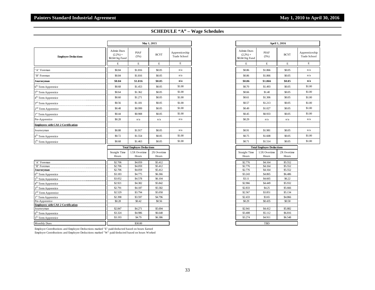|                                                   |                                              |                                  | May 1, 2015          |                                |                                              | April 1, 2016                    |  |
|---------------------------------------------------|----------------------------------------------|----------------------------------|----------------------|--------------------------------|----------------------------------------------|----------------------------------|--|
| <b>Employee Deductions</b>                        | Admin Dues<br>$(2.2\%) +$<br>\$0.04 Org Fund | <b>PIAF</b><br>(5%)              | <b>BCYT</b>          | Apprenticeship<br>Trade School | Admin Dues<br>$(2.2\%) +$<br>\$0.04 Org Fund | PIAF<br>(5%)                     |  |
|                                                   | E                                            | E                                | E                    | E                              | E                                            | E                                |  |
| 'A" Foreman                                       | \$0.84                                       | \$1.816                          | \$0.05               | n/a                            | \$0.86                                       | \$1.866                          |  |
| 'B" Foreman                                       | \$0.84                                       | \$1.816                          | \$0.05               | n/a                            | \$0.86                                       | \$1.866                          |  |
| Journeyman                                        | \$0.84                                       | \$1.816                          | \$0.05               | n/a                            | \$0.86                                       | \$1.866                          |  |
| 6 <sup>th</sup> Term Apprentice                   | \$0.68                                       | \$1.453                          | \$0.05               | \$1.00                         | \$0.70                                       | \$1.493                          |  |
| 5 <sup>th</sup> Term Apprentice                   | \$0.64                                       | \$1.362                          | \$0.05               | \$1.00                         | \$0.66                                       | \$1.40                           |  |
| 4 <sup>th</sup> Term Apprentice                   | \$0.60                                       | \$1.271                          | \$0.05               | \$1.00                         | \$0.61                                       | \$1.306                          |  |
| 3 <sup>rd</sup> Term Apprentice                   | \$0.56                                       | \$1.181                          | \$0.05               | \$1.00                         | \$0.57                                       | \$1.213                          |  |
| 2 <sup>nd</sup> Term Apprentice                   | \$0.48                                       | \$0.999                          | \$0.05               | \$1.00                         | \$0.49                                       | \$1.027                          |  |
| 1 <sup>st</sup> Term Apprentice                   | \$0.44                                       | \$0.908                          | \$0.05               | \$1.00                         | \$0.45                                       | \$0.933                          |  |
| Pre-Apprentice                                    | \$0.28                                       | n/a                              | n/a                  | n/a                            | \$0.29                                       | n/a                              |  |
| <b>Employees with CAS 2 Certification</b>         |                                              |                                  |                      |                                |                                              |                                  |  |
| Journeyman                                        | \$0.88                                       | \$1.917                          | \$0.05               | n/a                            | \$0.91                                       | \$1.981                          |  |
| $6th$ Term Apprentice                             | \$0.72                                       | \$1.554                          | \$0.05               | \$1.00                         | \$0.75                                       | \$1.608                          |  |
| 5 <sup>th</sup> Term Apprentice                   | \$0.68                                       | \$1.463                          | \$0.05               | \$1.00                         | \$0.71                                       | \$1.514                          |  |
|                                                   |                                              | <b>Total Employee Deductions</b> |                      |                                |                                              | <b>Total Employee Deductions</b> |  |
|                                                   | <b>Straight Time</b><br>Hours                | 1.5X Overtime<br>Hours           | 2X Overtime<br>Hours |                                | <b>Straight Time</b><br>Hours                | 1.5X Overtime<br>Hours           |  |
| A" Foreman                                        | \$2.706                                      | \$4.059                          | \$5.412              |                                | \$2.776                                      | \$4.164                          |  |
| 'B" Foreman                                       | \$2.706                                      | \$4.059                          | \$5.412              |                                | \$2.776                                      | \$4.164                          |  |
| Journeyman                                        | \$2.706                                      | \$4.059                          | \$5.412              |                                | \$2.776                                      | \$4.164                          |  |
| 6 <sup>th</sup> Term Apprentice                   | \$3.183<br>\$3.052                           | \$4.775                          | \$6.366<br>\$6.104   |                                | \$3.243<br>\$3.11                            | \$4.865<br>\$4.665               |  |
| 5 <sup>th</sup> Term Apprentice                   | \$2.921                                      | \$4.578<br>\$4.382               | \$5.842              |                                | \$2.966                                      | \$4.449                          |  |
| 4 <sup>th</sup> Term Apprentice                   | \$2.791                                      | \$4.187                          | \$5.582              |                                | \$2.833                                      | \$4.25                           |  |
| 3 <sup>rd</sup> Term Apprentice                   | \$2.529                                      | \$3.794                          | \$5.058              |                                | \$2.567                                      | \$3.851                          |  |
| 2 <sup>nd</sup> Term Apprentice                   | \$2.398                                      | \$3.597                          | \$4.796              |                                | \$2.433                                      | \$3.65                           |  |
| 1 <sup>st</sup> Term Apprentice<br>Pre-Apprentice | \$0.28                                       | \$0.42                           | \$0.56               |                                | \$0.29                                       | \$0.435                          |  |
| <b>Employees with CAS 2 Certification</b>         |                                              |                                  |                      |                                |                                              |                                  |  |
| Journeyman                                        | \$2.847                                      | \$4.271                          | \$5.694              |                                | \$2.941                                      | \$4.412                          |  |
| $6th$ Term Apprentice                             | \$3.324                                      | \$4.986                          | \$6.648              |                                | \$3.408                                      | \$5.112                          |  |
| 5 <sup>th</sup> Term Apprentice                   | \$3.193                                      | \$4.79                           | \$6.386              |                                | \$3.274                                      | \$4.911                          |  |
| <b>Monthly Dues</b>                               |                                              | \$30.00                          |                      |                                |                                              | TBD                              |  |

| <b>Admin Dues</b><br>$(2.2\%) +$<br>\$0.04 Org Fund<br>E | <b>PIAF</b><br>(5%) | <b>BCYT</b> | Apprenticeship                   |
|----------------------------------------------------------|---------------------|-------------|----------------------------------|
|                                                          |                     |             | <b>Trade School</b>              |
|                                                          | $\mathbf E$         | $\mathbf E$ | $\mathbf E$                      |
| \$0.86                                                   | \$1.866             | \$0.05      | n/a                              |
| \$0.86                                                   | \$1.866             | \$0.05      | n/a                              |
| \$0.86                                                   | \$1.866             | \$0.05      | n/a                              |
| \$0.70                                                   | \$1.493             | \$0.05      | \$1.00                           |
| \$0.66                                                   | \$1.40              | \$0.05      | \$1.00                           |
| \$0.61                                                   | \$1.306             | \$0.05      | \$1.00                           |
| \$0.57                                                   | \$1.213             | \$0.05      | \$1.00                           |
| \$0.49                                                   | \$1.027             | \$0.05      | \$1.00                           |
| \$0.45                                                   | \$0.933             | \$0.05      | \$1.00                           |
| \$0.29                                                   | n/a                 | n/a         | n/a                              |
|                                                          |                     |             |                                  |
| \$0.91                                                   | \$1.981             | \$0.05      | n/a                              |
| \$0.75                                                   | \$1.608             | \$0.05      | \$1.00                           |
| \$0.71                                                   | \$1.514             | \$0.05      | \$1.00                           |
|                                                          |                     |             | <b>Total Employee Deductions</b> |

| Tom Tanprojec Dementions      |                        |                      |  |  |  |  |  |
|-------------------------------|------------------------|----------------------|--|--|--|--|--|
| <b>Straight Time</b><br>Hours | 1.5X Overtime<br>Hours | 2X Overtime<br>Hours |  |  |  |  |  |
| \$2,776                       | \$4.164                | \$5.552              |  |  |  |  |  |
| \$2.776                       | \$4.164                | \$5.552              |  |  |  |  |  |
| \$2.776                       | \$4.164                | \$5.552              |  |  |  |  |  |
| \$3.243                       | \$4.865                | \$6.486              |  |  |  |  |  |
| \$3.11                        | \$4,665                | \$6.22               |  |  |  |  |  |
| \$2,966                       | \$4.449                | \$5,932              |  |  |  |  |  |
| \$2,833                       | \$4.25                 | \$5,666              |  |  |  |  |  |
| \$2.567                       | \$3.851                | \$5.134              |  |  |  |  |  |
| \$2.433                       | \$3.65                 | \$4.866              |  |  |  |  |  |
| \$0.29                        | \$0.435                | \$0.58               |  |  |  |  |  |
| \$2.941                       | \$4.412                | \$5,882              |  |  |  |  |  |
| \$3.408                       | \$5.112                | \$6.816              |  |  |  |  |  |
| \$3.274                       | \$4.911                | \$6.548              |  |  |  |  |  |
| TBD                           |                        |                      |  |  |  |  |  |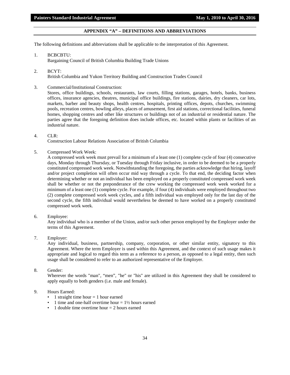# **APPENDIX "A" – DEFINITIONS AND ABBREVIATIONS**

<span id="page-35-0"></span>The following definitions and abbreviations shall be applicable to the interpretation of this Agreement.

- 1. BCBCBTU: Bargaining Council of British Columbia Building Trade Unions
- 2. BCYT: British Columbia and Yukon Territory Building and Construction Trades Council
- 3. Commercial/Institutional Construction:

Stores, office buildings, schools, restaurants, law courts, filling stations, garages, hotels, banks, business offices, insurance agencies, theatres, municipal office buildings, fire stations, dairies, dry cleaners, car lots, markets, barber and beauty shops, health centres, hospitals, printing offices, depots, churches, swimming pools, recreation centres, bowling alleys, places of amusement, first aid stations, correctional facilities, funeral homes, shopping centres and other like structures or buildings not of an industrial or residential nature. The parties agree that the foregoing definition does include offices, etc. located within plants or facilities of an industrial nature.

#### 4. CLR:

Construction Labour Relations Association of British Columbia

5. Compressed Work Week:

A compressed work week must prevail for a minimum of a least one (1) complete cycle of four (4) consecutive days, Monday through Thursday, or Tuesday through Friday inclusive, in order to be deemed to be a properly constituted compressed work week. Notwithstanding the foregoing, the parties acknowledge that hiring, layoff and/or project completion will often occur mid way through a cycle. To that end, the deciding factor when determining whether or not an individual has been employed on a properly constituted compressed work week shall be whether or not the preponderance of the crew working the compressed work week worked for a minimum of a least one (1) complete cycle. For example, if four (4) individuals were employed throughout two (2) complete compressed work week cycles, and a fifth individual was employed only for the last day of the second cycle, the fifth individual would nevertheless be deemed to have worked on a properly constituted compressed work week.

6. Employee:

Any individual who is a member of the Union, and/or such other person employed by the Employer under the terms of this Agreement.

7. Employer:

Any individual, business, partnership, company, corporation, or other similar entity, signatory to this Agreement. Where the term Employer is used within this Agreement, and the context of such usage makes it appropriate and logical to regard this term as a reference to a person, as opposed to a legal entity, then such usage shall be considered to refer to an authorized representative of the Employer.

8. Gender:

Wherever the words "man", "men", "he" or "his" are utilized in this Agreement they shall be considered to apply equally to both genders (i.e. male and female).

# 9. Hours Earned:

- 1 straight time hour  $= 1$  hour earned
- 1 time and one-half overtime hour  $= 1\frac{1}{2}$  hours earned
- 1 double time overtime hour  $= 2$  hours earned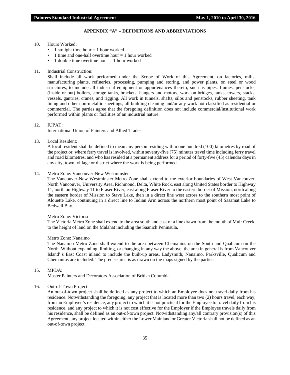#### **APPENDIX "A" – DEFINITIONS AND ABBREVIATIONS**

#### 10. Hours Worked:

- 1 straight time hour  $= 1$  hour worked
- 1 time and one-half overtime hour  $= 1$  hour worked
- 1 double time overtime hour  $= 1$  hour worked

#### 11. Industrial Construction:

Shall include all work performed under the Scope of Work of this Agreement, on factories, mills, manufacturing plants, refineries, processing, pumping and storing, and power plants, on steel or wood structures, to include all industrial equipment or appurtenances thereto, such as pipes, flumes, penstocks, (inside or out) boilers, storage tanks, brackets, hangers and motors, work on bridges, tanks, towers, stacks, vessels, gantries, cranes, and rigging. All work in tunnels, shafts, silos and penstocks, rubber sheeting, tank lining and other non-metallic sheetings, all building cleaning and/or any work not classified as residential or commercial. The parties agree that the foregoing definition does not include commercial/institutional work performed within plants or facilities of an industrial nature.

#### 12. IUPAT:

International Union of Painters and Allied Trades

13. Local Resident:

A local resident shall be defined to mean any person residing within one hundred (100) kilometres by road of the project or, where ferry travel is involved, within seventy-five (75) minutes travel time including ferry travel and road kilometres, and who has resided at a permanent address for a period of forty-five (45) calendar days in any city, town, village or district where the work is being performed.

#### 14. Metro Zone: Vancouver-New Westminster

The Vancouver-New Westminster Metro Zone shall extend to the exterior boundaries of West Vancouver, North Vancouver, University Area, Richmond, Delta, White Rock, east along United States border to Highway 11, north on Highway 11 to Fraser River, east along Fraser River to the eastern border of Mission, north along the eastern border of Mission to Stave Lake, then in a direct line west across to the southern most point of Alouette Lake, continuing in a direct line to Indian Arm across the northern most point of Sasamat Lake to Bedwell Bay.

#### Metro Zone: Victoria

The Victoria Metro Zone shall extend to the area south and east of a line drawn from the mouth of Muir Creek, to the height of land on the Malahat including the Saanich Peninsula.

#### Metro Zone: Nanaimo

The Nanaimo Metro Zone shall extend to the area between Chemanius on the South and Qualicum on the North. Without expanding, limiting, or changing in any way the above, the area in general is from Vancouver Island' s East Coast inland to include the built-up areas. Ladysmith, Nanaimo, Parksville, Qualicum and Chemanius are included. The precise area is as drawn on the maps signed by the parties.

#### 15. MPDA:

Master Painters and Decorators Association of British Columbia

#### 16. Out-of-Town Project:

An out-of-town project shall be defined as any project to which an Employee does not travel daily from his residence. Notwithstanding the foregoing, any project that is located more than two (2) hours travel, each way, from an Employee's residence, any project to which it is not practical for the Employee to travel daily from his residence, and any project to which it is not cost effective for the Employer if the Employee travels daily from his residence, shall be defined as an out-of-town project. Notwithstanding any/all contrary provision(s) of this Agreement, any project located within either the Lower Mainland or Greater Victoria shall not be defined as an out-of-town project.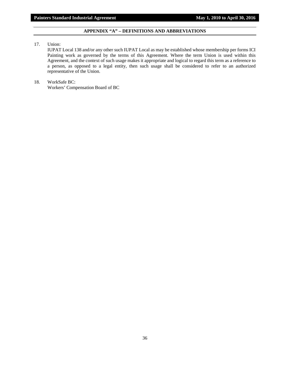# **APPENDIX "A" – DEFINITIONS AND ABBREVIATIONS**

17. Union:

IUPAT Local 138 and/or any other such IUPAT Local as may be established whose membership per forms ICI Painting work as governed by the terms of this Agreement. Where the term Union is used within this Agreement, and the context of such usage makes it appropriate and logical to regard this term as a reference to a person, as opposed to a legal entity, then such usage shall be considered to refer to an authorized representative of the Union.

# 18. WorkSafe BC: Workers' Compensation Board of BC